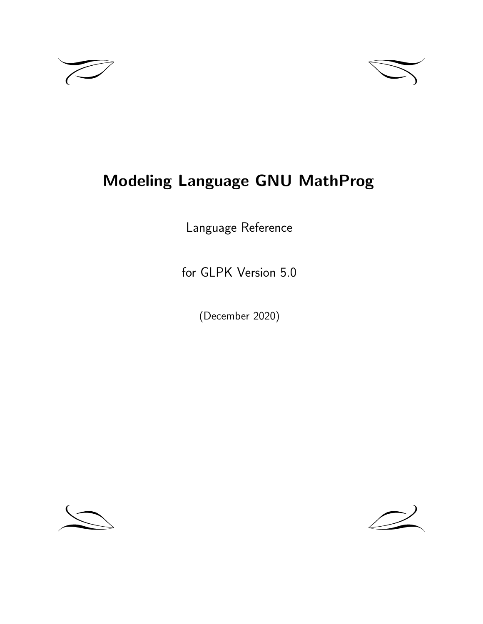



# **Modeling Language GNU MathProg**

Language Reference

for GLPK Version 5.0

(December 2020)



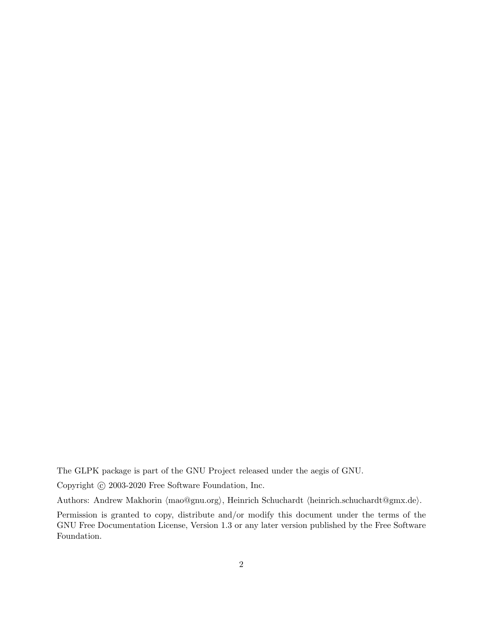The GLPK package is part of the GNU Project released under the aegis of GNU.

Copyright  $\odot$  2003-2020 Free Software Foundation, Inc.

Authors: Andrew Makhorin *⟨*mao@gnu.org*⟩*, Heinrich Schuchardt *⟨*heinrich.schuchardt@gmx.de*⟩*.

Permission is granted to copy, distribute and/or modify this document under the terms of the GNU Free Documentation License, Version 1.3 or any later version published by the Free Software Foundation.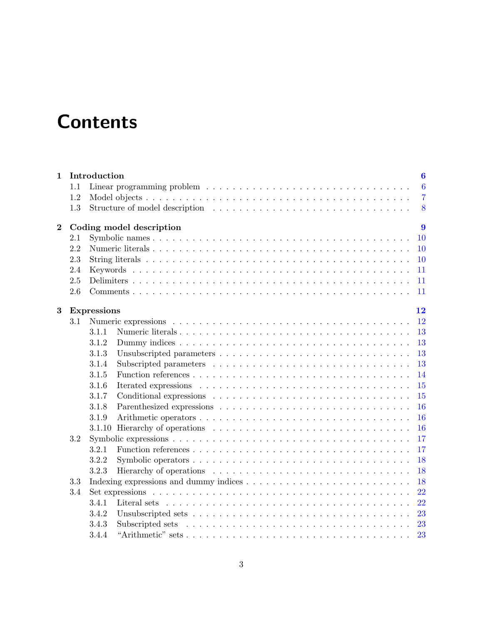# **Contents**

| $\mathbf{1}$ |     | Introduction       | 6                             |  |
|--------------|-----|--------------------|-------------------------------|--|
|              | 1.1 |                    | $6\phantom{.}6$               |  |
|              | 1.2 |                    | $\overline{7}$                |  |
|              | 1.3 |                    | 8                             |  |
| $\bf{2}$     |     |                    | 9<br>Coding model description |  |
|              | 2.1 |                    | 10                            |  |
|              | 2.2 |                    | 10                            |  |
|              | 2.3 |                    | <b>10</b>                     |  |
|              | 2.4 |                    | 11                            |  |
|              | 2.5 |                    | 11                            |  |
|              | 2.6 |                    | 11                            |  |
| 3            |     | <b>Expressions</b> | 12                            |  |
|              | 3.1 |                    | 12                            |  |
|              |     | 3.1.1              | 13                            |  |
|              |     | 3.1.2              | 13                            |  |
|              |     | 3.1.3              | 13                            |  |
|              |     | 3.1.4              | 13                            |  |
|              |     | 3.1.5              | 14                            |  |
|              |     | 3.1.6              | 15                            |  |
|              |     | 3.1.7              | 15                            |  |
|              |     | 3.1.8              | 16                            |  |
|              |     | 3.1.9              | 16                            |  |
|              |     |                    | 16                            |  |
|              | 3.2 |                    | 17                            |  |
|              |     | 3.2.1              | 17                            |  |
|              |     | 3.2.2              | 18                            |  |
|              |     | 3.2.3              | 18                            |  |
|              | 3.3 |                    | 18                            |  |
|              | 3.4 |                    | 22                            |  |
|              |     | 3.4.1              | 22                            |  |
|              |     | 3.4.2              | 23                            |  |
|              |     | 3.4.3              | 23                            |  |
|              |     | 3.4.4              | 23                            |  |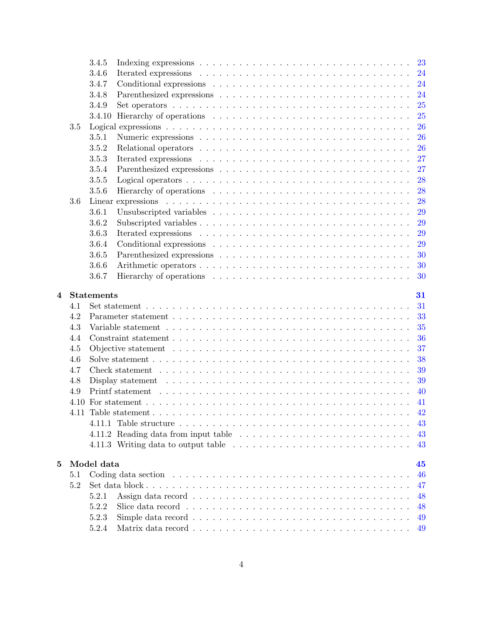|   |     | 3.4.5             |                                                                                                                |     |
|---|-----|-------------------|----------------------------------------------------------------------------------------------------------------|-----|
|   |     | 3.4.6             |                                                                                                                | 24  |
|   |     | 3.4.7             |                                                                                                                | 24  |
|   |     | 3.4.8             |                                                                                                                | 24  |
|   |     | 3.4.9             |                                                                                                                | 25  |
|   |     | 3.4.10            |                                                                                                                | 25  |
|   | 3.5 |                   |                                                                                                                | 26  |
|   |     | 3.5.1             |                                                                                                                | 26  |
|   |     | 3.5.2             |                                                                                                                | 26  |
|   |     | 3.5.3             |                                                                                                                | 27  |
|   |     | 3.5.4             |                                                                                                                | 27  |
|   |     | 3.5.5             |                                                                                                                | 28  |
|   |     | 3.5.6             |                                                                                                                | 28  |
|   | 3.6 |                   |                                                                                                                | 28  |
|   |     | 3.6.1             |                                                                                                                | 29  |
|   |     | 3.6.2             |                                                                                                                | 29  |
|   |     | 3.6.3             |                                                                                                                | 29  |
|   |     | 3.6.4             |                                                                                                                | 29  |
|   |     | 3.6.5             |                                                                                                                | 30  |
|   |     | 3.6.6             |                                                                                                                | 30  |
|   |     | 3.6.7             |                                                                                                                | 30  |
|   |     |                   |                                                                                                                |     |
| 4 |     | <b>Statements</b> |                                                                                                                | 31  |
|   | 4.1 |                   |                                                                                                                | 31  |
|   | 4.2 |                   |                                                                                                                | 33  |
|   | 4.3 |                   |                                                                                                                | 35  |
|   | 4.4 |                   |                                                                                                                | 36  |
|   | 4.5 |                   |                                                                                                                | 37  |
|   | 4.6 |                   |                                                                                                                | 38  |
|   | 4.7 |                   |                                                                                                                | 39  |
|   | 4.8 |                   | Display statement $\ldots \ldots \ldots \ldots \ldots \ldots \ldots \ldots \ldots \ldots \ldots \ldots \ldots$ | 39  |
|   | 4.9 |                   |                                                                                                                | 40  |
|   |     |                   |                                                                                                                | -41 |
|   |     |                   |                                                                                                                |     |
|   |     |                   |                                                                                                                | 43  |
|   |     |                   |                                                                                                                | 43  |
|   |     |                   |                                                                                                                | 43  |
|   |     |                   |                                                                                                                |     |
| 5 |     | Model data        |                                                                                                                | 45  |
|   | 5.1 |                   |                                                                                                                | 46  |
|   | 5.2 |                   |                                                                                                                | 47  |
|   |     | 5.2.1             |                                                                                                                | 48  |
|   |     | 5.2.2             |                                                                                                                | 48  |
|   |     | 5.2.3             |                                                                                                                | 49  |
|   |     | 5.2.4             |                                                                                                                | 49  |
|   |     |                   |                                                                                                                |     |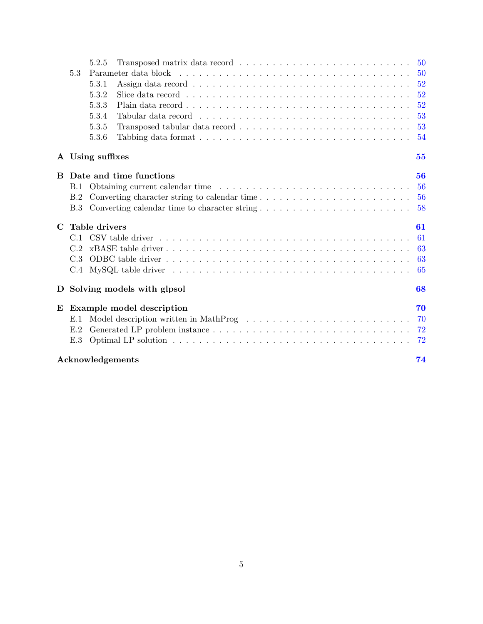|              |            | 5.2.5            |                                                                                                                  | 50 |
|--------------|------------|------------------|------------------------------------------------------------------------------------------------------------------|----|
|              | 5.3        |                  |                                                                                                                  | 50 |
|              |            | 5.3.1            |                                                                                                                  | 52 |
|              |            | 5.3.2            |                                                                                                                  | 52 |
|              |            | 5.3.3            |                                                                                                                  | 52 |
|              |            | 5.3.4            |                                                                                                                  | 53 |
|              |            | 5.3.5            |                                                                                                                  | 53 |
|              |            | 5.3.6            |                                                                                                                  | 54 |
|              |            | A Using suffixes |                                                                                                                  | 55 |
| <sub>B</sub> |            |                  | Date and time functions                                                                                          | 56 |
|              | B.1        |                  |                                                                                                                  | 56 |
|              | B.2        |                  |                                                                                                                  | 56 |
|              | <b>B.3</b> |                  |                                                                                                                  | 58 |
| $\mathbf C$  |            | Table drivers    |                                                                                                                  | 61 |
|              |            |                  |                                                                                                                  | 61 |
|              | C.2        |                  |                                                                                                                  | 63 |
|              | C.3        |                  |                                                                                                                  | 63 |
|              | C.4        |                  | $MySQL$ table driver $\dots \dots \dots \dots \dots \dots \dots \dots \dots \dots \dots \dots \dots \dots \dots$ | 65 |
| D            |            |                  | Solving models with glpsol                                                                                       | 68 |
| E            |            |                  | Example model description                                                                                        | 70 |
|              | E.1        |                  | Model description written in MathProg $\dots \dots \dots \dots \dots \dots \dots \dots \dots \dots$              | 70 |
|              | E.2        |                  |                                                                                                                  | 72 |
|              | E.3        |                  |                                                                                                                  | 72 |
|              |            | Acknowledgements |                                                                                                                  | 74 |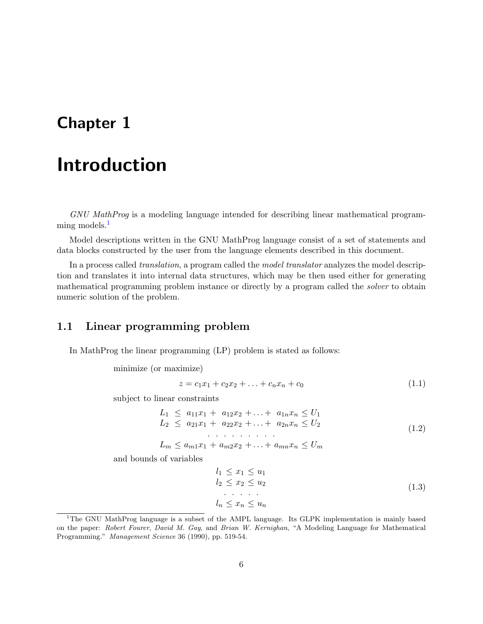# <span id="page-5-0"></span>**Chapter 1**

# **Introduction**

*GNU MathProg* is a modeling language intended for describing linear mathematical programming models. $<sup>1</sup>$  $<sup>1</sup>$  $<sup>1</sup>$ </sup>

Model descriptions written in the GNU MathProg language consist of a set of statements and data blocks constructed by the user from the language elements described in this document.

In a process called *translation*, a program called the *model translator* analyzes the model description and translates it into internal data structures, which may be then used either for generating mathematical programming problem instance or directly by a program called the *solver* to obtain numeric solution of the problem.

# <span id="page-5-1"></span>**1.1 Linear programming problem**

In MathProg the linear programming (LP) problem is stated as follows:

minimize (or maximize)

$$
z = c_1 x_1 + c_2 x_2 + \ldots + c_n x_n + c_0 \tag{1.1}
$$

subject to linear constraints

$$
L_1 \le a_{11}x_1 + a_{12}x_2 + \ldots + a_{1n}x_n \le U_1
$$
  
\n
$$
L_2 \le a_{21}x_1 + a_{22}x_2 + \ldots + a_{2n}x_n \le U_2
$$
  
\n
$$
\ldots \ldots \ldots \ldots
$$
  
\n
$$
L_m \le a_{m1}x_1 + a_{m2}x_2 + \ldots + a_{mn}x_n \le U_m
$$
\n(1.2)

and bounds of variables

$$
l_1 \le x_1 \le u_1
$$
  
\n
$$
l_2 \le x_2 \le u_2
$$
  
\n
$$
\dots
$$
  
\n
$$
l_n \le x_n \le u_n
$$
  
\n(1.3)

<span id="page-5-2"></span><sup>&</sup>lt;sup>1</sup>The GNU MathProg language is a subset of the AMPL language. Its GLPK implementation is mainly based on the paper: *Robert Fourer*, *David M. Gay*, and *Brian W. Kernighan*, "A Modeling Language for Mathematical Programming." *Management Science* 36 (1990), pp. 519-54.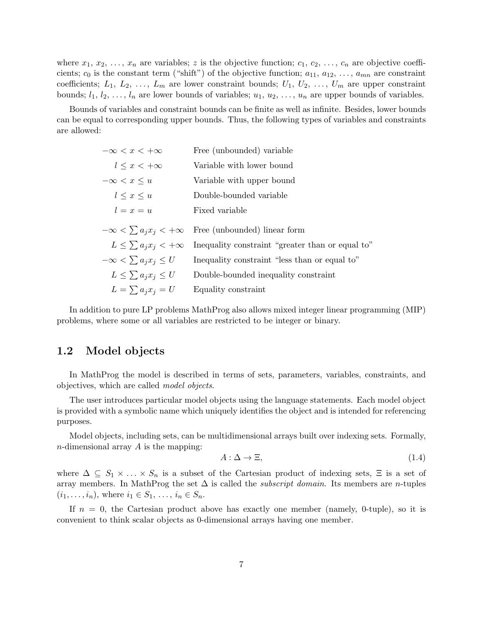where  $x_1, x_2, \ldots, x_n$  are variables; *z* is the objective function;  $c_1, c_2, \ldots, c_n$  are objective coefficients;  $c_0$  is the constant term ("shift") of the objective function;  $a_{11}, a_{12}, \ldots, a_{mn}$  are constraint coefficients;  $L_1, L_2, \ldots, L_m$  are lower constraint bounds;  $U_1, U_2, \ldots, U_m$  are upper constraint bounds;  $l_1, l_2, \ldots, l_n$  are lower bounds of variables;  $u_1, u_2, \ldots, u_n$  are upper bounds of variables.

Bounds of variables and constraint bounds can be finite as well as infinite. Besides, lower bounds can be equal to corresponding upper bounds. Thus, the following types of variables and constraints are allowed:

| $-\infty < x < +\infty$         | Free (unbounded) variable                                       |
|---------------------------------|-----------------------------------------------------------------|
| $l \leq x \leq +\infty$         | Variable with lower bound                                       |
| $-\infty < x \leq u$            | Variable with upper bound                                       |
| $l \leq x \leq u$               | Double-bounded variable                                         |
| $l = x = u$                     | Fixed variable                                                  |
|                                 | $-\infty < \sum a_i x_i < +\infty$ Free (unbounded) linear form |
| $L \leq \sum a_i x_i < +\infty$ | Inequality constraint "greater than or equal to"                |
|                                 |                                                                 |
| $-\infty < \sum a_i x_i \leq U$ | Inequality constraint "less than or equal to"                   |
| $L \leq \sum a_i x_i \leq U$    | Double-bounded inequality constraint                            |

In addition to pure LP problems MathProg also allows mixed integer linear programming (MIP) problems, where some or all variables are restricted to be integer or binary.

# <span id="page-6-0"></span>**1.2 Model objects**

In MathProg the model is described in terms of sets, parameters, variables, constraints, and objectives, which are called *model objects*.

The user introduces particular model objects using the language statements. Each model object is provided with a symbolic name which uniquely identifies the object and is intended for referencing purposes.

Model objects, including sets, can be multidimensional arrays built over indexing sets. Formally, *n*-dimensional array *A* is the mapping:

$$
A: \Delta \to \Xi,\tag{1.4}
$$

where  $\Delta \subseteq S_1 \times \ldots \times S_n$  is a subset of the Cartesian product of indexing sets,  $\Xi$  is a set of array members. In MathProg the set  $\Delta$  is called the *subscript domain*. Its members are *n*-tuples  $(i_1, \ldots, i_n)$ , where  $i_1 \in S_1, \ldots, i_n \in S_n$ .

If  $n = 0$ , the Cartesian product above has exactly one member (namely, 0-tuple), so it is convenient to think scalar objects as 0-dimensional arrays having one member.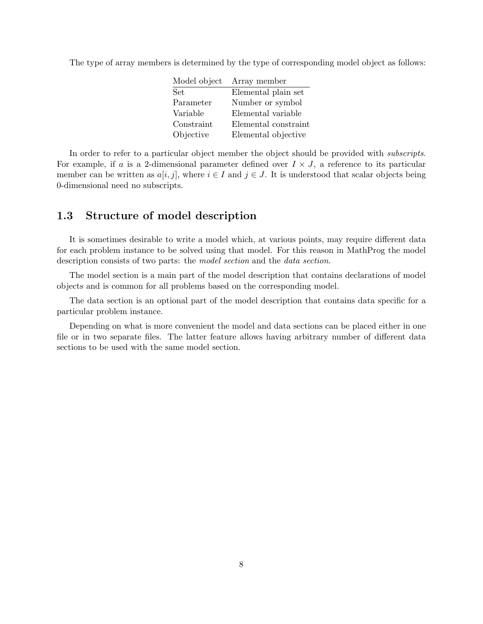The type of array members is determined by the type of corresponding model object as follows:

| Array member         |
|----------------------|
| Elemental plain set  |
| Number or symbol     |
| Elemental variable   |
| Elemental constraint |
| Elemental objective  |
|                      |

In order to refer to a particular object member the object should be provided with *subscripts*. For example, if *a* is a 2-dimensional parameter defined over  $I \times J$ , a reference to its particular member can be written as  $a[i, j]$ , where  $i \in I$  and  $j \in J$ . It is understood that scalar objects being 0-dimensional need no subscripts.

# <span id="page-7-0"></span>**1.3 Structure of model description**

It is sometimes desirable to write a model which, at various points, may require different data for each problem instance to be solved using that model. For this reason in MathProg the model description consists of two parts: the *model section* and the *data section*.

The model section is a main part of the model description that contains declarations of model objects and is common for all problems based on the corresponding model.

The data section is an optional part of the model description that contains data specific for a particular problem instance.

Depending on what is more convenient the model and data sections can be placed either in one file or in two separate files. The latter feature allows having arbitrary number of different data sections to be used with the same model section.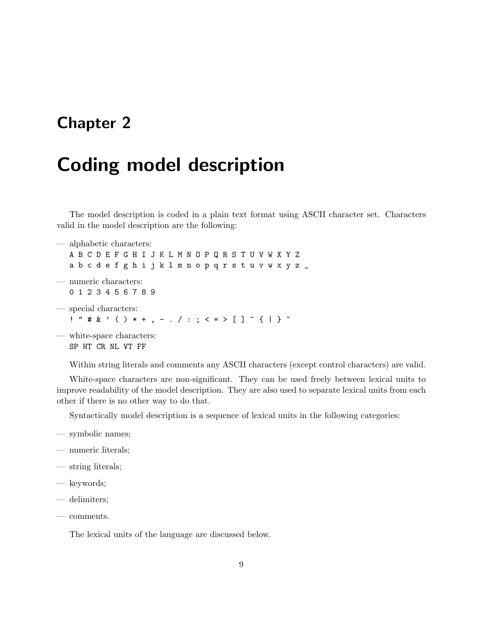# <span id="page-8-0"></span>**Chapter 2**

# **Coding model description**

The model description is coded in a plain text format using ASCII character set. Characters valid in the model description are the following:

- alphabetic characters: A B C D E F G H I J K L M N O P Q R S T U V W X Y Z a b c d e f g h i j k l m n o p q r s t u v w x y z \_ — numeric characters: 0 1 2 3 4 5 6 7 8 9 — special characters:  $\frac{1}{2}$  " # & ' ( ) \* + , - . / : ; < = > [ ] ^ { | } ~
- white-space characters: SP HT CR NL VT FF

Within string literals and comments any ASCII characters (except control characters) are valid.

White-space characters are non-significant. They can be used freely between lexical units to improve readability of the model description. They are also used to separate lexical units from each other if there is no other way to do that.

Syntactically model description is a sequence of lexical units in the following categories:

- symbolic names;
- numeric literals;
- string literals;
- keywords;
- delimiters;
- comments.

The lexical units of the language are discussed below.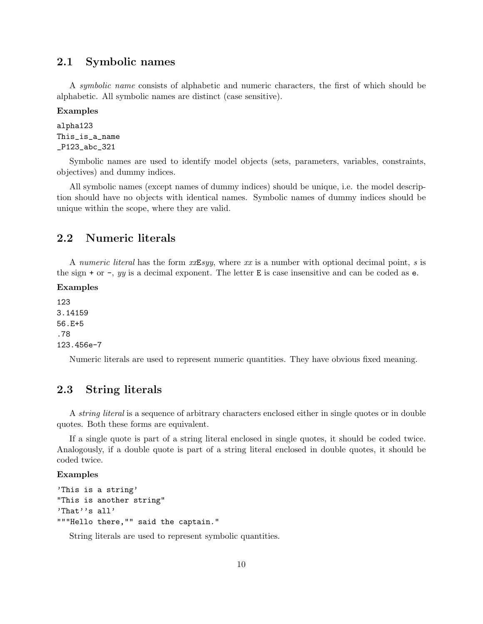# <span id="page-9-0"></span>**2.1 Symbolic names**

A *symbolic name* consists of alphabetic and numeric characters, the first of which should be alphabetic. All symbolic names are distinct (case sensitive).

**Examples**

```
alpha123
This_is_a_name
_P123_abc_321
```
Symbolic names are used to identify model objects (sets, parameters, variables, constraints, objectives) and dummy indices.

All symbolic names (except names of dummy indices) should be unique, i.e. the model description should have no objects with identical names. Symbolic names of dummy indices should be unique within the scope, where they are valid.

# <span id="page-9-1"></span>**2.2 Numeric literals**

A *numeric literal* has the form *xx*E*syy*, where *xx* is a number with optional decimal point, *s* is the sign + or -, *yy* is a decimal exponent. The letter E is case insensitive and can be coded as e.

### **Examples**

123 3.14159 56.E+5 .78 123.456e-7

Numeric literals are used to represent numeric quantities. They have obvious fixed meaning.

# <span id="page-9-2"></span>**2.3 String literals**

A *string literal* is a sequence of arbitrary characters enclosed either in single quotes or in double quotes. Both these forms are equivalent.

If a single quote is part of a string literal enclosed in single quotes, it should be coded twice. Analogously, if a double quote is part of a string literal enclosed in double quotes, it should be coded twice.

### **Examples**

```
'This is a string'
"This is another string"
'That''s all'
"""Hello there,"" said the captain."
```
String literals are used to represent symbolic quantities.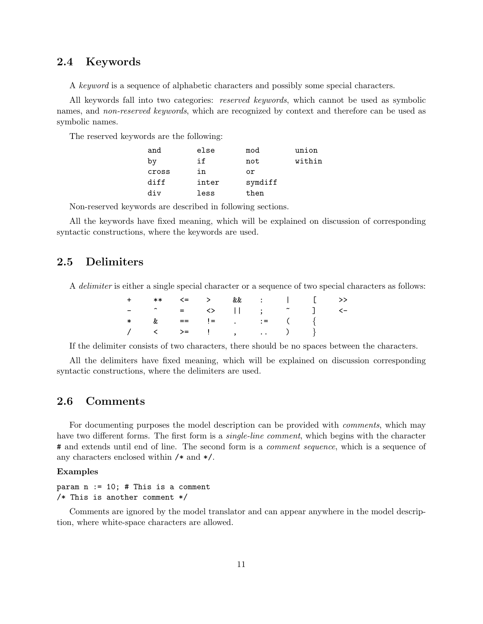# <span id="page-10-0"></span>**2.4 Keywords**

A *keyword* is a sequence of alphabetic characters and possibly some special characters.

All keywords fall into two categories: *reserved keywords*, which cannot be used as symbolic names, and *non-reserved keywords*, which are recognized by context and therefore can be used as symbolic names.

The reserved keywords are the following:

| and   | else  | mod     | union  |
|-------|-------|---------|--------|
| by    | if    | not     | within |
| cross | in    | or      |        |
| diff  | inter | symdiff |        |
| div   | less  | then    |        |

Non-reserved keywords are described in following sections.

All the keywords have fixed meaning, which will be explained on discussion of corresponding syntactic constructions, where the keywords are used.

# <span id="page-10-1"></span>**2.5 Delimiters**

A *delimiter* is either a single special character or a sequence of two special characters as follows:

| + ** <= > && :   [ >>             |  |  |  |  |
|-----------------------------------|--|--|--|--|
| - ^ = ◇    ; <sup>~</sup> ] <-    |  |  |  |  |
| * & == $!=$ $!=$ $\cdot$ $:=$ $($ |  |  |  |  |
|                                   |  |  |  |  |

If the delimiter consists of two characters, there should be no spaces between the characters.

All the delimiters have fixed meaning, which will be explained on discussion corresponding syntactic constructions, where the delimiters are used.

# <span id="page-10-2"></span>**2.6 Comments**

For documenting purposes the model description can be provided with *comments*, which may have two different forms. The first form is a *single-line comment*, which begins with the character # and extends until end of line. The second form is a *comment sequence*, which is a sequence of any characters enclosed within /\* and \*/.

#### **Examples**

## param  $n := 10$ ; # This is a comment /\* This is another comment \*/

Comments are ignored by the model translator and can appear anywhere in the model description, where white-space characters are allowed.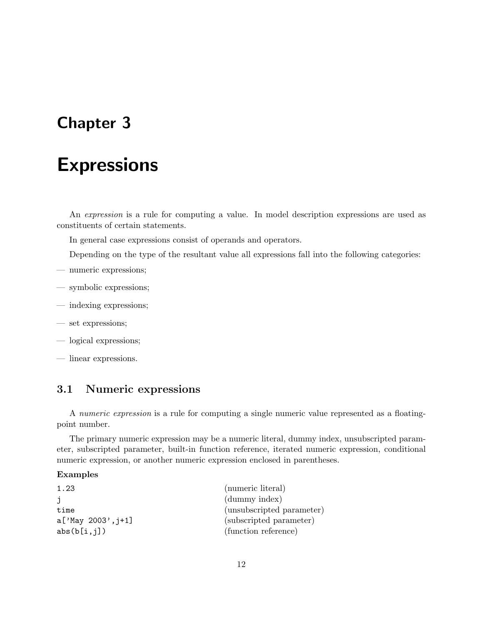# <span id="page-11-0"></span>**Chapter 3**

# **Expressions**

An *expression* is a rule for computing a value. In model description expressions are used as constituents of certain statements.

In general case expressions consist of operands and operators.

Depending on the type of the resultant value all expressions fall into the following categories:

- numeric expressions;
- symbolic expressions;
- indexing expressions;
- set expressions;
- logical expressions;
- linear expressions.

# <span id="page-11-1"></span>**3.1 Numeric expressions**

A *numeric expression* is a rule for computing a single numeric value represented as a floatingpoint number.

The primary numeric expression may be a numeric literal, dummy index, unsubscripted parameter, subscripted parameter, built-in function reference, iterated numeric expression, conditional numeric expression, or another numeric expression enclosed in parentheses.

## **Examples**

| 1.23                 | (numeric literal)         |
|----------------------|---------------------------|
|                      | (dummy index)             |
| time                 | (unsubscripted parameter) |
| $a['May 2003', j+1]$ | (subscripted parameter)   |
| abs(b[i,j])          | (function reference)      |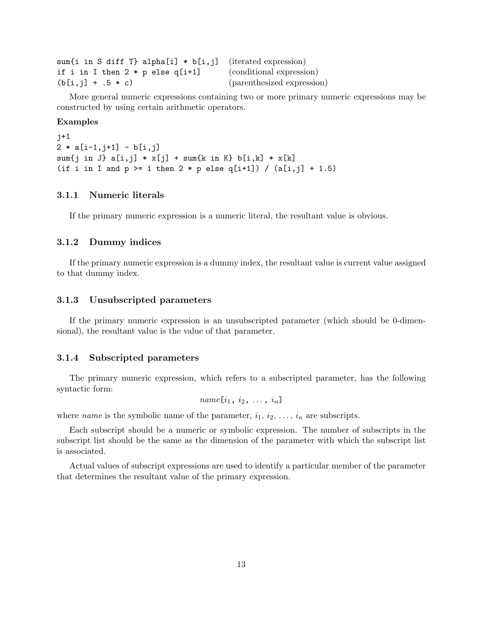| sum {i in S diff T} alpha[i] $*$ b[i, j] (iterated expression) |                            |
|----------------------------------------------------------------|----------------------------|
| if i in I then $2 * p$ else q[i+1]                             | (conditional expression)   |
| $(b[i,j] + .5 * c)$                                            | (parenthesized expression) |

More general numeric expressions containing two or more primary numeric expressions may be constructed by using certain arithmetic operators.

#### **Examples**

j+1  $2 * a[i-1, j+1] - b[i, j]$ sum{j in J} a[i,j] \* x[j] + sum{k in K} b[i,k] \* x[k] (if i in I and  $p$  >= 1 then 2 \* p else q[i+1]) / (a[i,j] + 1.5)

# <span id="page-12-0"></span>**3.1.1 Numeric literals**

If the primary numeric expression is a numeric literal, the resultant value is obvious.

# <span id="page-12-1"></span>**3.1.2 Dummy indices**

If the primary numeric expression is a dummy index, the resultant value is current value assigned to that dummy index.

### <span id="page-12-2"></span>**3.1.3 Unsubscripted parameters**

If the primary numeric expression is an unsubscripted parameter (which should be 0-dimensional), the resultant value is the value of that parameter.

### <span id="page-12-3"></span>**3.1.4 Subscripted parameters**

The primary numeric expression, which refers to a subscripted parameter, has the following syntactic form:

$$
name[i_1, i_2, \ldots, i_n]
$$

where *name* is the symbolic name of the parameter,  $i_1, i_2, \ldots, i_n$  are subscripts.

Each subscript should be a numeric or symbolic expression. The number of subscripts in the subscript list should be the same as the dimension of the parameter with which the subscript list is associated.

Actual values of subscript expressions are used to identify a particular member of the parameter that determines the resultant value of the primary expression.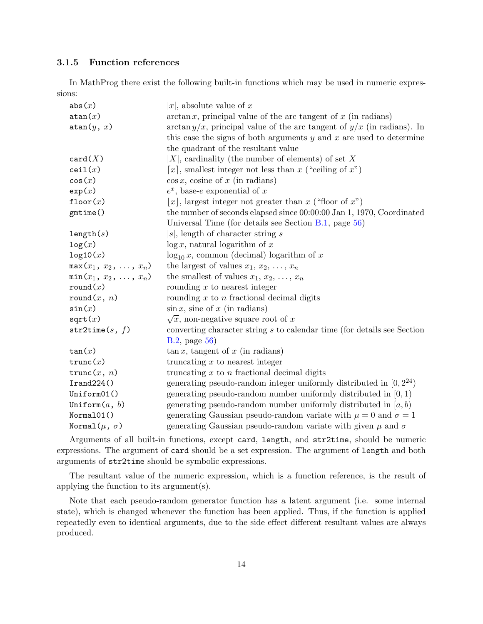# <span id="page-13-0"></span>**3.1.5 Function references**

In MathProg there exist the following built-in functions which may be used in numeric expressions:

| abs(x)                       | $ x $ , absolute value of x                                                  |
|------------------------------|------------------------------------------------------------------------------|
| atan(x)                      | $\arctan x$ , principal value of the arc tangent of x (in radians)           |
| atan(y, x)                   | $\arctan y/x$ , principal value of the arc tangent of $y/x$ (in radians). In |
|                              | this case the signs of both arguments $y$ and $x$ are used to determine      |
|                              | the quadrant of the resultant value                                          |
| card(X)                      | $ X $ , cardinality (the number of elements) of set X                        |
| ceil(x)                      | [x], smallest integer not less than x ("ceiling of x")                       |
| cos(x)                       | $\cos x$ , cosine of x (in radians)                                          |
| exp(x)                       | $e^x$ , base-e exponential of x                                              |
| floor $(x)$                  | $ x $ , largest integer not greater than x ("floor of x")                    |
| gmtime()                     | the number of seconds elapsed since 00:00:00 Jan 1, 1970, Coordinated        |
|                              | Universal Time (for details see Section $B.1$ , page 56)                     |
| length(s)                    | $s$ , length of character string $s$                                         |
| log(x)                       | $\log x$ , natural logarithm of x                                            |
| log10(x)                     | $\log_{10} x$ , common (decimal) logarithm of x                              |
| $max(x_1, x_2, \ldots, x_n)$ | the largest of values $x_1, x_2, \ldots, x_n$                                |
| $min(x_1, x_2, \ldots, x_n)$ | the smallest of values $x_1, x_2, \ldots, x_n$                               |
| $\texttt{round}(x)$          | rounding $x$ to nearest integer                                              |
| round(x, n)                  | rounding $x$ to $n$ fractional decimal digits                                |
| sin(x)                       | $\sin x$ , sine of x (in radians)                                            |
| sqrt(x)                      | $\sqrt{x}$ , non-negative square root of x                                   |
| str2time(s, f)               | converting character string s to calendar time (for details see Section      |
|                              | $B.2$ , page $56$ )                                                          |
| $\tan(x)$                    | $\tan x$ , tangent of x (in radians)                                         |
| trunc(x)                     | truncating $x$ to nearest integer                                            |
| trunc $(x, n)$               | truncating $x$ to $n$ fractional decimal digits                              |
| Irand224()                   | generating pseudo-random integer uniformly distributed in $[0, 2^{24})$      |
| Uniform01()                  | generating pseudo-random number uniformly distributed in $[0, 1)$            |
| Uniform $(a, b)$             | generating pseudo-random number uniformly distributed in $[a, b)$            |
| Normal01()                   | generating Gaussian pseudo-random variate with $\mu = 0$ and $\sigma = 1$    |
| Normal $(\mu, \sigma)$       | generating Gaussian pseudo-random variate with given $\mu$ and $\sigma$      |

Arguments of all built-in functions, except card, length, and str2time, should be numeric expressions. The argument of card should be a set expression. The argument of length and both arguments of str2time should be symbolic expressions.

The resultant value of the numeric expression, which is a function reference, is the result of applying the function to its argument(s).

Note that each pseudo-random generator function has a latent argument (i.e. some internal state), which is changed whenever the function has been applied. Thus, if the function is applied repeatedly even to identical arguments, due to the side effect different resultant values are always produced.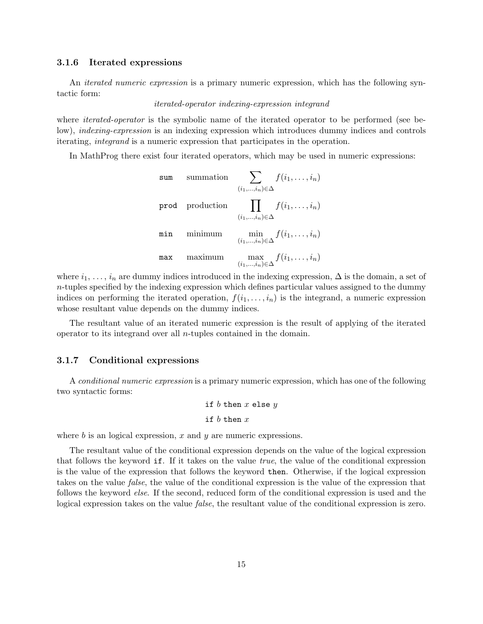## <span id="page-14-0"></span>**3.1.6 Iterated expressions**

An *iterated numeric expression* is a primary numeric expression, which has the following syntactic form:

## *iterated-operator indexing-expression integrand*

where *iterated-operator* is the symbolic name of the iterated operator to be performed (see below), *indexing-expression* is an indexing expression which introduces dummy indices and controls iterating, *integrand* is a numeric expression that participates in the operation.

In MathProg there exist four iterated operators, which may be used in numeric expressions:

sum summation\n
$$
\sum_{(i_1,\ldots,i_n)\in\Delta} f(i_1,\ldots,i_n)
$$
\n
$$
\text{prod}\n\prod_{(i_1,\ldots,i_n)\in\Delta} f(i_1,\ldots,i_n)
$$
\n
$$
\text{min}\n\min_{(i_1,\ldots,i_n)\in\Delta} f(i_1,\ldots,i_n)
$$
\n
$$
\text{max}\n\max\{\text{maximum}\}
$$
\n
$$
\max_{(i_1,\ldots,i_n)\in\Delta} f(i_1,\ldots,i_n)
$$

where  $i_1, \ldots, i_n$  are dummy indices introduced in the indexing expression,  $\Delta$  is the domain, a set of *n*-tuples specified by the indexing expression which defines particular values assigned to the dummy indices on performing the iterated operation,  $f(i_1, \ldots, i_n)$  is the integrand, a numeric expression whose resultant value depends on the dummy indices.

The resultant value of an iterated numeric expression is the result of applying of the iterated operator to its integrand over all *n*-tuples contained in the domain.

## <span id="page-14-1"></span>**3.1.7 Conditional expressions**

A *conditional numeric expression* is a primary numeric expression, which has one of the following two syntactic forms:

if 
$$
b
$$
 then  $x$  else  $y$  if  $b$  then  $x$ 

where *b* is an logical expression, *x* and *y* are numeric expressions.

The resultant value of the conditional expression depends on the value of the logical expression that follows the keyword if. If it takes on the value *true*, the value of the conditional expression is the value of the expression that follows the keyword then. Otherwise, if the logical expression takes on the value *false*, the value of the conditional expression is the value of the expression that follows the keyword *else*. If the second, reduced form of the conditional expression is used and the logical expression takes on the value *false*, the resultant value of the conditional expression is zero.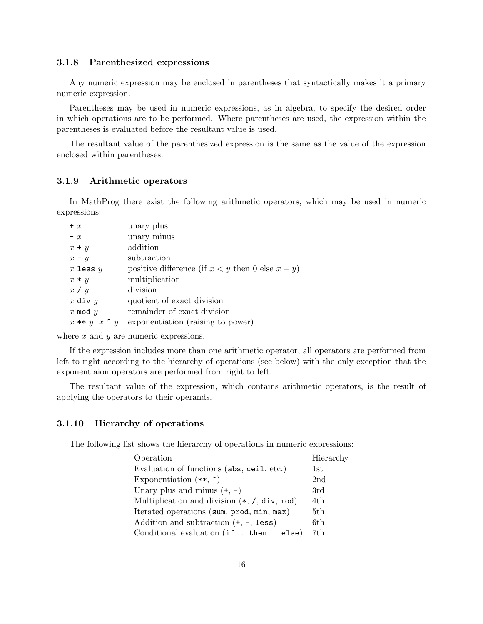## <span id="page-15-0"></span>**3.1.8 Parenthesized expressions**

Any numeric expression may be enclosed in parentheses that syntactically makes it a primary numeric expression.

Parentheses may be used in numeric expressions, as in algebra, to specify the desired order in which operations are to be performed. Where parentheses are used, the expression within the parentheses is evaluated before the resultant value is used.

The resultant value of the parenthesized expression is the same as the value of the expression enclosed within parentheses.

# <span id="page-15-1"></span>**3.1.9 Arithmetic operators**

In MathProg there exist the following arithmetic operators, which may be used in numeric expressions:

| $+ x$                | unary plus                                            |
|----------------------|-------------------------------------------------------|
| $- x$                | unary minus                                           |
| $x + y$              | addition                                              |
| $x - y$              | subtraction                                           |
| $x$ less $y$         | positive difference (if $x < y$ then 0 else $x - y$ ) |
| $x * y$              | multiplication                                        |
| x / y                | division                                              |
| x div $y$            | quotient of exact division                            |
| x mod $y$            | remainder of exact division                           |
| $x**y, x \uparrow y$ | exponentiation (raising to power)                     |
|                      |                                                       |

where *x* and *y* are numeric expressions.

If the expression includes more than one arithmetic operator, all operators are performed from left to right according to the hierarchy of operations (see below) with the only exception that the exponentiaion operators are performed from right to left.

The resultant value of the expression, which contains arithmetic operators, is the result of applying the operators to their operands.

## <span id="page-15-2"></span>**3.1.10 Hierarchy of operations**

The following list shows the hierarchy of operations in numeric expressions:

| Operation                                                    | Hierarchy      |
|--------------------------------------------------------------|----------------|
| Evaluation of functions (abs, ceil, etc.)                    | $1\mathrm{st}$ |
| Exponentiation $(**, \hat{ })$                               | 2nd            |
| Unary plus and minus $(+, -)$                                | 3rd            |
| Multiplication and division $(*, /, \text{div}, \text{mod})$ | 4th            |
| Iterated operations (sum, prod, min, max)                    | 5th            |
| Addition and subtraction $(+, -, \text{less})$               | 6th            |
| Conditional evaluation (if then else)                        | 7th            |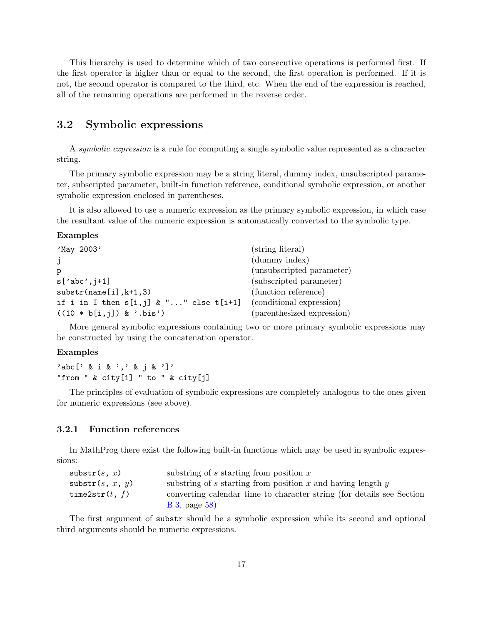This hierarchy is used to determine which of two consecutive operations is performed first. If the first operator is higher than or equal to the second, the first operation is performed. If it is not, the second operator is compared to the third, etc. When the end of the expression is reached, all of the remaining operations are performed in the reverse order.

# <span id="page-16-0"></span>**3.2 Symbolic expressions**

A *symbolic expression* is a rule for computing a single symbolic value represented as a character string.

The primary symbolic expression may be a string literal, dummy index, unsubscripted parameter, subscripted parameter, built-in function reference, conditional symbolic expression, or another symbolic expression enclosed in parentheses.

It is also allowed to use a numeric expression as the primary symbolic expression, in which case the resultant value of the numeric expression is automatically converted to the symbolic type.

### **Examples**

| 'May 2003'                                                           | (string literal)           |
|----------------------------------------------------------------------|----------------------------|
| j                                                                    | (dummy index)              |
| р                                                                    | (unsubscripted parameter)  |
| $s['abc', j+1]$                                                      | (subscripted parameter)    |
| $\text{substr}(\text{name}[i], k+1, 3)$                              | (function reference)       |
| if i in I then $s[i, j]$ & "" else $t[i+1]$ (conditional expression) |                            |
| $((10 * b[i,j]) & .bis')$                                            | (parenthesized expression) |

More general symbolic expressions containing two or more primary symbolic expressions may be constructed by using the concatenation operator.

#### **Examples**

'abc[' & i & ',' & j & ']' "from " & city[i] " to " & city[j]

The principles of evaluation of symbolic expressions are completely analogous to the ones given for numeric expressions (see above).

## <span id="page-16-1"></span>**3.2.1 Function references**

In MathProg there exist the following built-in functions which may be used in symbolic expressions:

| ${\tt substr}(s, x)$      | substring of $s$ starting from position $x$                           |
|---------------------------|-----------------------------------------------------------------------|
| $\texttt{subst}(s, x, y)$ | substring of $s$ starting from position $x$ and having length $y$     |
| time $2str(t, f)$         | converting calendar time to character string (for details see Section |
|                           | $B.3$ , page $58$ )                                                   |

The first argument of substr should be a symbolic expression while its second and optional third arguments should be numeric expressions.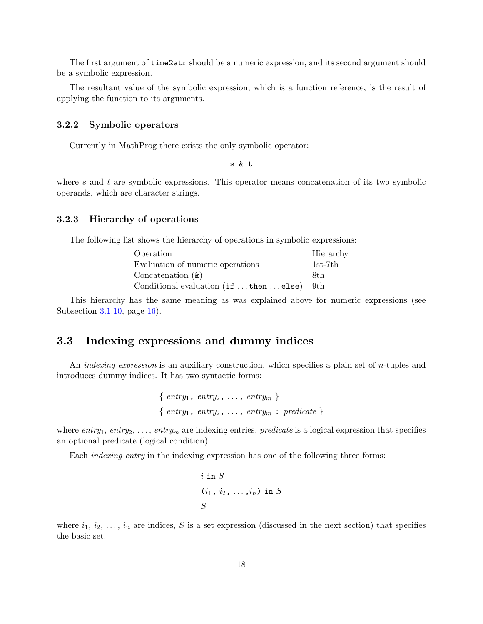The first argument of time2str should be a numeric expression, and its second argument should be a symbolic expression.

The resultant value of the symbolic expression, which is a function reference, is the result of applying the function to its arguments.

# <span id="page-17-0"></span>**3.2.2 Symbolic operators**

Currently in MathProg there exists the only symbolic operator:

s & t

where *s* and *t* are symbolic expressions. This operator means concatenation of its two symbolic operands, which are character strings.

## <span id="page-17-1"></span>**3.2.3 Hierarchy of operations**

The following list shows the hierarchy of operations in symbolic expressions:

| Operation                             | Hierarchy |
|---------------------------------------|-----------|
| Evaluation of numeric operations      | $1st-7th$ |
| Concatenation $(x)$                   | 8th       |
| Conditional evaluation (if then else) | - 9th     |

This hierarchy has the same meaning as was explained above for numeric expressions (see Subsection [3.1.10](#page-15-2), page [16\)](#page-15-2).

# <span id="page-17-2"></span>**3.3 Indexing expressions and dummy indices**

An *indexing expression* is an auxiliary construction, which specifies a plain set of *n*-tuples and introduces dummy indices. It has two syntactic forms:

> *{ entry*1, *entry*2, . . . , *entry<sup>m</sup> } { entry*1, *entry*2, . . . , *entry<sup>m</sup>* : *predicate }*

where  $entry_1$ ,  $entry_2$ , ...,  $entry_m$  are indexing entries, *predicate* is a logical expression that specifies an optional predicate (logical condition).

Each *indexing entry* in the indexing expression has one of the following three forms:

$$
i \text{ in } S
$$

$$
(i_1, i_2, \ldots, i_n) \text{ in } S
$$

$$
S
$$

where  $i_1, i_2, \ldots, i_n$  are indices, *S* is a set expression (discussed in the next section) that specifies the basic set.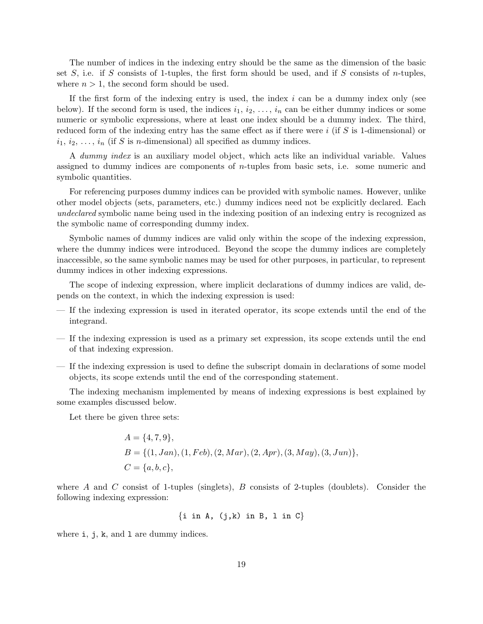The number of indices in the indexing entry should be the same as the dimension of the basic set *S*, i.e. if *S* consists of 1-tuples, the first form should be used, and if *S* consists of *n*-tuples, where  $n > 1$ , the second form should be used.

If the first form of the indexing entry is used, the index *i* can be a dummy index only (see below). If the second form is used, the indices  $i_1, i_2, \ldots, i_n$  can be either dummy indices or some numeric or symbolic expressions, where at least one index should be a dummy index. The third, reduced form of the indexing entry has the same effect as if there were *i* (if *S* is 1-dimensional) or  $i_1, i_2, \ldots, i_n$  (if *S* is *n*-dimensional) all specified as dummy indices.

A *dummy index* is an auxiliary model object, which acts like an individual variable. Values assigned to dummy indices are components of *n*-tuples from basic sets, i.e. some numeric and symbolic quantities.

For referencing purposes dummy indices can be provided with symbolic names. However, unlike other model objects (sets, parameters, etc.) dummy indices need not be explicitly declared. Each *undeclared* symbolic name being used in the indexing position of an indexing entry is recognized as the symbolic name of corresponding dummy index.

Symbolic names of dummy indices are valid only within the scope of the indexing expression, where the dummy indices were introduced. Beyond the scope the dummy indices are completely inaccessible, so the same symbolic names may be used for other purposes, in particular, to represent dummy indices in other indexing expressions.

The scope of indexing expression, where implicit declarations of dummy indices are valid, depends on the context, in which the indexing expression is used:

- If the indexing expression is used in iterated operator, its scope extends until the end of the integrand.
- If the indexing expression is used as a primary set expression, its scope extends until the end of that indexing expression.
- If the indexing expression is used to define the subscript domain in declarations of some model objects, its scope extends until the end of the corresponding statement.

The indexing mechanism implemented by means of indexing expressions is best explained by some examples discussed below.

Let there be given three sets:

$$
A = \{4, 7, 9\},
$$
  
\n
$$
B = \{(1, Jan), (1, Feb), (2, Mar), (2, Apr), (3, May), (3, Jun)\},
$$
  
\n
$$
C = \{a, b, c\},
$$

where *A* and *C* consist of 1-tuples (singlets), *B* consists of 2-tuples (doublets). Consider the following indexing expression:

$$
\{i \text{ in } A, (j,k) \text{ in } B, 1 \text{ in } C\}
$$

where i, j, k, and 1 are dummy indices.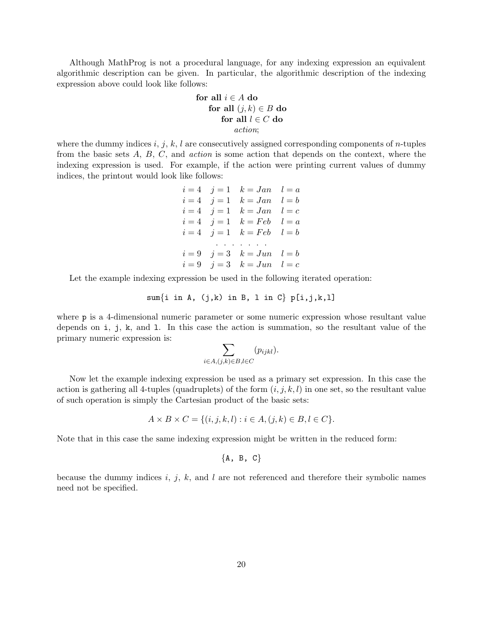Although MathProg is not a procedural language, for any indexing expression an equivalent algorithmic description can be given. In particular, the algorithmic description of the indexing expression above could look like follows:

$$
\begin{aligned}\n\textbf{for all } i \in A \textbf{ do} \\
\textbf{for all } (j, k) \in B \textbf{ do} \\
\textbf{for all } l \in C \textbf{ do} \\
\textbf{action;} \n\end{aligned}
$$

where the dummy indices *i*, *j*, *k*, *l* are consecutively assigned corresponding components of *n*-tuples from the basic sets *A*, *B*, *C*, and *action* is some action that depends on the context, where the indexing expression is used. For example, if the action were printing current values of dummy indices, the printout would look like follows:

> $i = 4$   $j = 1$   $k = Jan$   $l = a$  $i = 4$   $j = 1$   $k = Jan$   $l = b$  $i = 4$   $j = 1$   $k = Jan$   $l = c$  $i = 4$   $j = 1$   $k = Feb$   $l = a$  $i = 4$   $i = 1$   $k = Feb$   $l = b$ . . . . . . .  $i = 9$   $i = 3$   $k = Jun$   $l = b$  $i = 9$   $i = 3$   $k = Jun$   $l = c$

Let the example indexing expression be used in the following iterated operation:

$$
sum\{i \text{ in } A, (j,k) \text{ in } B, 1 \text{ in } C\} p[i,j,k,l]
$$

where **p** is a 4-dimensional numeric parameter or some numeric expression whose resultant value depends on i, j, k, and l. In this case the action is summation, so the resultant value of the primary numeric expression is:

$$
\sum_{i \in A, (j,k) \in B, l \in C} (p_{ijkl}).
$$

Now let the example indexing expression be used as a primary set expression. In this case the action is gathering all 4-tuples (quadruplets) of the form  $(i, j, k, l)$  in one set, so the resultant value of such operation is simply the Cartesian product of the basic sets:

$$
A \times B \times C = \{ (i, j, k, l) : i \in A, (j, k) \in B, l \in C \}.
$$

Note that in this case the same indexing expression might be written in the reduced form:

$$
\{A, B, C\}
$$

because the dummy indices *i*, *j*, *k*, and *l* are not referenced and therefore their symbolic names need not be specified.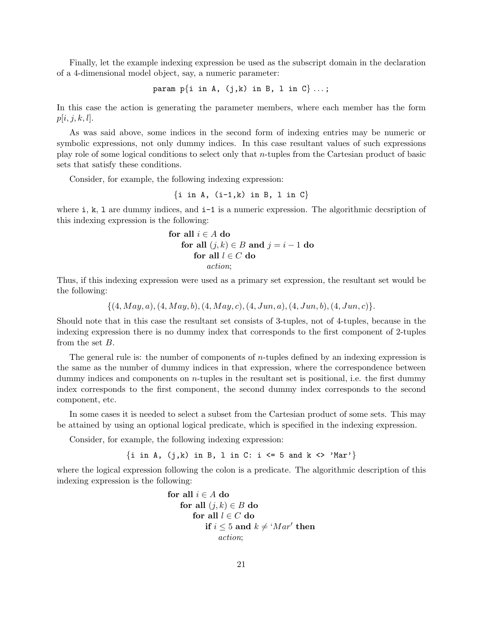Finally, let the example indexing expression be used as the subscript domain in the declaration of a 4-dimensional model object, say, a numeric parameter:

param p*{*i in A, (j,k) in B, l in C*}* . . . ;

In this case the action is generating the parameter members, where each member has the form  $p[i, j, k, l].$ 

As was said above, some indices in the second form of indexing entries may be numeric or symbolic expressions, not only dummy indices. In this case resultant values of such expressions play role of some logical conditions to select only that *n*-tuples from the Cartesian product of basic sets that satisfy these conditions.

Consider, for example, the following indexing expression:

$$
\{i \text{ in } A, (i-1,k) \text{ in } B, 1 \text{ in } C\}
$$

where  $i, k, 1$  are dummy indices, and  $i-1$  is a numeric expression. The algorithmic decsription of this indexing expression is the following:

for all 
$$
i \in A
$$
 do

\nfor all  $(j,k) \in B$  and  $j = i - 1$  do

\nfor all  $l \in C$  do

\n*action*;

Thus, if this indexing expression were used as a primary set expression, the resultant set would be the following:

*{*(4*, M ay, a*)*,*(4*, M ay, b*)*,*(4*, M ay, c*)*,*(4*, Jun, a*)*,*(4*, Jun, b*)*,*(4*, Jun, c*)*}.*

Should note that in this case the resultant set consists of 3-tuples, not of 4-tuples, because in the indexing expression there is no dummy index that corresponds to the first component of 2-tuples from the set *B*.

The general rule is: the number of components of *n*-tuples defined by an indexing expression is the same as the number of dummy indices in that expression, where the correspondence between dummy indices and components on *n*-tuples in the resultant set is positional, i.e. the first dummy index corresponds to the first component, the second dummy index corresponds to the second component, etc.

In some cases it is needed to select a subset from the Cartesian product of some sets. This may be attained by using an optional logical predicate, which is specified in the indexing expression.

Consider, for example, the following indexing expression:

*{*i in A, (j,k) in B, l in C: i <= 5 and k <> 'Mar'*}*

where the logical expression following the colon is a predicate. The algorithmic description of this indexing expression is the following:

for all 
$$
i \in A
$$
 do

\nfor all  $(j,k) \in B$  do

\nfor all  $l \in C$  do

\nif  $i \leq 5$  and  $k \neq 'Mar'$  then

\n*action*;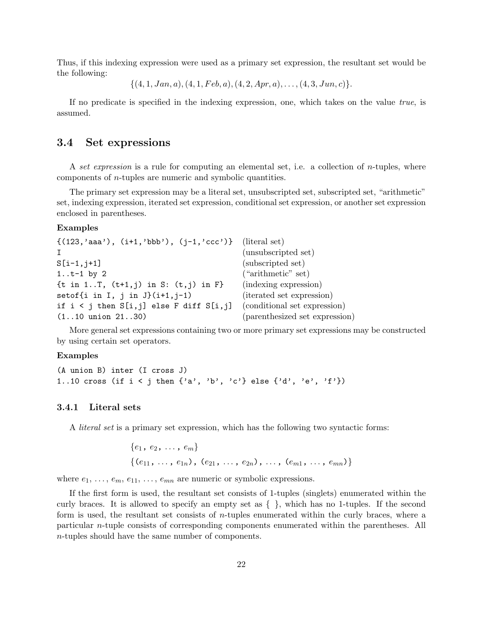Thus, if this indexing expression were used as a primary set expression, the resultant set would be the following:

*{*(4*,* 1*, Jan, a*)*,*(4*,* 1*, F eb, a*)*,*(4*,* 2*, Apr, a*)*, . . . ,*(4*,* 3*, Jun, c*)*}.*

If no predicate is specified in the indexing expression, one, which takes on the value *true*, is assumed.

# <span id="page-21-0"></span>**3.4 Set expressions**

A *set expression* is a rule for computing an elemental set, i.e. a collection of *n*-tuples, where components of *n*-tuples are numeric and symbolic quantities.

The primary set expression may be a literal set, unsubscripted set, subscripted set, "arithmetic" set, indexing expression, iterated set expression, conditional set expression, or another set expression enclosed in parentheses.

#### **Examples**

```
\{(123, 'aaa'), (i+1, 'bbb'), (j-1, 'ccc')\} (literal set)
I (unsubscripted set)
S[i-1,j+1] (subscripted set)
1..t-1 by 2 ("arithmetic" set)
\{\text{t in } 1..\}, (\text{t+1},j) in S: (\text{t},j) in F} (indexing expression)
setof\{i \text{ in } I, j \text{ in } J\}(i+1,j-1) (iterated set expression)
if i \leq j then S[i, j] else F diff S[i, j] (conditional set expression)
(1..10 union 21..30) (parenthesized set expression)
```
More general set expressions containing two or more primary set expressions may be constructed by using certain set operators.

## **Examples**

```
(A union B) inter (I cross J)
1..10 cross (if i \leq j then \{a', 'b', 'c'\} else \{d', 'e', 'f'\})
```
## <span id="page-21-1"></span>**3.4.1 Literal sets**

A *literal set* is a primary set expression, which has the following two syntactic forms:

$$
{e1, e2, ..., em}
$$
  

$$
{(e11, ..., e1n), (e21, ..., e2n), ..., (em1, ..., emn)}
$$

where  $e_1, \ldots, e_m, e_{11}, \ldots, e_{mn}$  are numeric or symbolic expressions.

If the first form is used, the resultant set consists of 1-tuples (singlets) enumerated within the curly braces. It is allowed to specify an empty set as *{ }*, which has no 1-tuples. If the second form is used, the resultant set consists of *n*-tuples enumerated within the curly braces, where a particular *n*-tuple consists of corresponding components enumerated within the parentheses. All *n*-tuples should have the same number of components.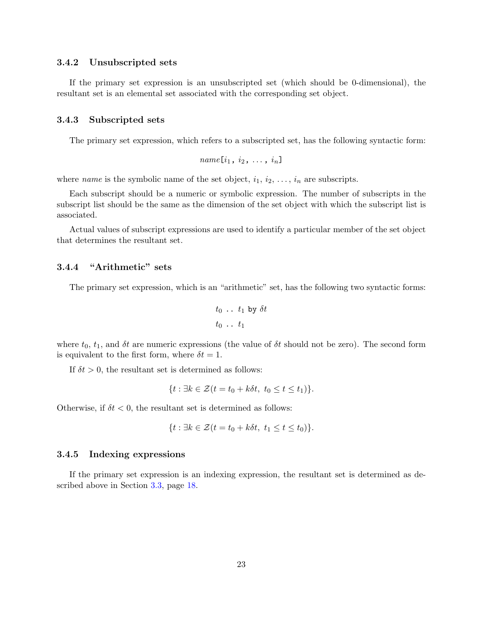### <span id="page-22-0"></span>**3.4.2 Unsubscripted sets**

If the primary set expression is an unsubscripted set (which should be 0-dimensional), the resultant set is an elemental set associated with the corresponding set object.

#### <span id="page-22-1"></span>**3.4.3 Subscripted sets**

The primary set expression, which refers to a subscripted set, has the following syntactic form:

$$
name[i_1, i_2, \ldots, i_n]
$$

where *name* is the symbolic name of the set object,  $i_1, i_2, \ldots, i_n$  are subscripts.

Each subscript should be a numeric or symbolic expression. The number of subscripts in the subscript list should be the same as the dimension of the set object with which the subscript list is associated.

Actual values of subscript expressions are used to identify a particular member of the set object that determines the resultant set.

# <span id="page-22-2"></span>**3.4.4 "Arithmetic" sets**

The primary set expression, which is an "arithmetic" set, has the following two syntactic forms:

$$
t_0 \ldots t_1 \text{ by } \delta t
$$
  

$$
t_0 \ldots t_1
$$

where  $t_0$ ,  $t_1$ , and  $\delta t$  are numeric expressions (the value of  $\delta t$  should not be zero). The second form is equivalent to the first form, where  $\delta t = 1$ .

If  $\delta t > 0$ , the resultant set is determined as follows:

$$
\{t: \exists k \in \mathcal{Z}(t = t_0 + k\delta t, t_0 \le t \le t_1)\}.
$$

Otherwise, if  $\delta t < 0$ , the resultant set is determined as follows:

$$
\{t: \exists k \in \mathcal{Z}(t = t_0 + k\delta t, t_1 \le t \le t_0)\}.
$$

## <span id="page-22-3"></span>**3.4.5 Indexing expressions**

If the primary set expression is an indexing expression, the resultant set is determined as described above in Section [3.3](#page-17-2), page [18](#page-17-2).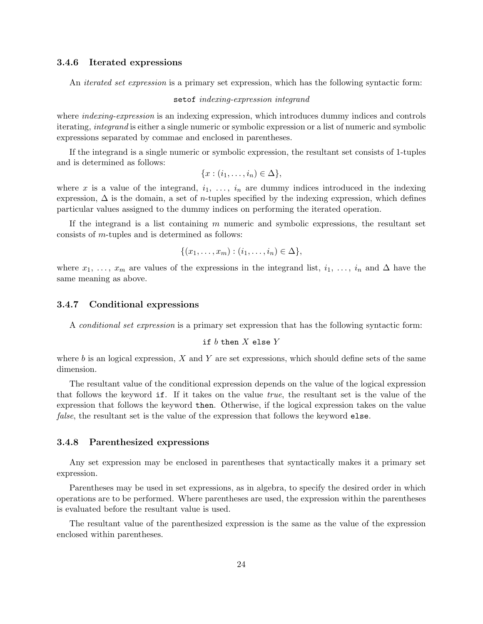## <span id="page-23-0"></span>**3.4.6 Iterated expressions**

An *iterated set expression* is a primary set expression, which has the following syntactic form:

#### setof *indexing-expression integrand*

where *indexing-expression* is an indexing expression, which introduces dummy indices and controls iterating, *integrand* is either a single numeric or symbolic expression or a list of numeric and symbolic expressions separated by commae and enclosed in parentheses.

If the integrand is a single numeric or symbolic expression, the resultant set consists of 1-tuples and is determined as follows:

$$
\{x:(i_1,\ldots,i_n)\in\Delta\},\
$$

where x is a value of the integrand,  $i_1, \ldots, i_n$  are dummy indices introduced in the indexing expression, ∆ is the domain, a set of *n*-tuples specified by the indexing expression, which defines particular values assigned to the dummy indices on performing the iterated operation.

If the integrand is a list containing *m* numeric and symbolic expressions, the resultant set consists of *m*-tuples and is determined as follows:

$$
\{(x_1,\ldots,x_m): (i_1,\ldots,i_n)\in \Delta\},\
$$

where  $x_1, \ldots, x_m$  are values of the expressions in the integrand list,  $i_1, \ldots, i_n$  and  $\Delta$  have the same meaning as above.

### <span id="page-23-1"></span>**3.4.7 Conditional expressions**

A *conditional set expression* is a primary set expression that has the following syntactic form:

### if *b* then *X* else *Y*

where *b* is an logical expression, *X* and *Y* are set expressions, which should define sets of the same dimension.

The resultant value of the conditional expression depends on the value of the logical expression that follows the keyword if. If it takes on the value *true*, the resultant set is the value of the expression that follows the keyword then. Otherwise, if the logical expression takes on the value *false*, the resultant set is the value of the expression that follows the keyword else.

#### <span id="page-23-2"></span>**3.4.8 Parenthesized expressions**

Any set expression may be enclosed in parentheses that syntactically makes it a primary set expression.

Parentheses may be used in set expressions, as in algebra, to specify the desired order in which operations are to be performed. Where parentheses are used, the expression within the parentheses is evaluated before the resultant value is used.

The resultant value of the parenthesized expression is the same as the value of the expression enclosed within parentheses.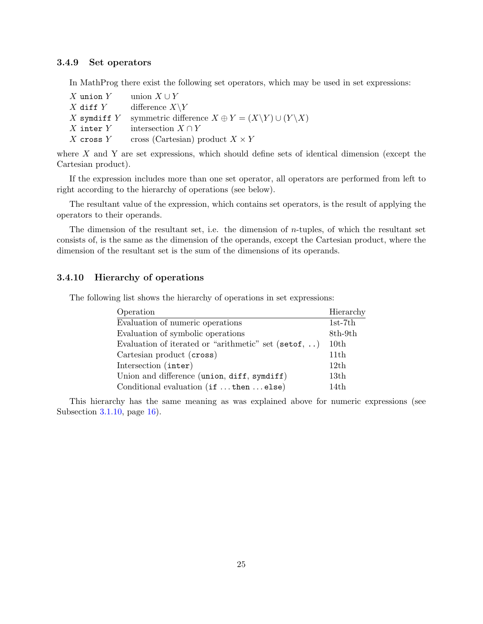## <span id="page-24-0"></span>**3.4.9 Set operators**

In MathProg there exist the following set operators, which may be used in set expressions:

| $X$ union $Y$   | union $X \cup Y$                                                           |
|-----------------|----------------------------------------------------------------------------|
| $X$ diff $Y$    | difference $X\Y$                                                           |
| $X$ symdiff $Y$ | symmetric difference $X \oplus Y = (X \backslash Y) \cup (Y \backslash X)$ |
| $X$ inter $Y$   | intersection $X \cap Y$                                                    |
| $X$ cross $Y$   | cross (Cartesian) product $X \times Y$                                     |

where *X* and Y are set expressions, which should define sets of identical dimension (except the Cartesian product).

If the expression includes more than one set operator, all operators are performed from left to right according to the hierarchy of operations (see below).

The resultant value of the expression, which contains set operators, is the result of applying the operators to their operands.

The dimension of the resultant set, i.e. the dimension of *n*-tuples, of which the resultant set consists of, is the same as the dimension of the operands, except the Cartesian product, where the dimension of the resultant set is the sum of the dimensions of its operands.

# <span id="page-24-1"></span>**3.4.10 Hierarchy of operations**

The following list shows the hierarchy of operations in set expressions:

| Operation                                             | Hierarchy        |
|-------------------------------------------------------|------------------|
| Evaluation of numeric operations                      | $1st-7th$        |
| Evaluation of symbolic operations                     | 8th-9th          |
| Evaluation of iterated or "arithmetic" set (set of, ) | 10th             |
| Cartesian product (cross)                             | 11th             |
| Intersection (inter)                                  | 12th             |
| Union and difference (union, diff, symdiff)           | 13 <sub>th</sub> |
| Conditional evaluation (if  then  else)               | 14th             |

This hierarchy has the same meaning as was explained above for numeric expressions (see Subsection [3.1.10](#page-15-2), page [16\)](#page-15-2).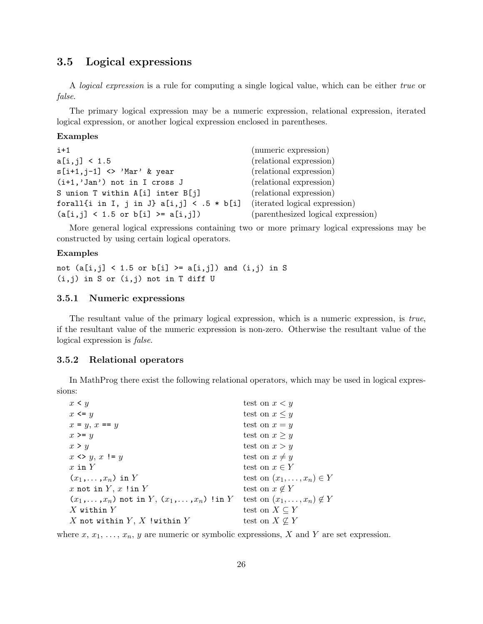# <span id="page-25-0"></span>**3.5 Logical expressions**

A *logical expression* is a rule for computing a single logical value, which can be either *true* or *false*.

The primary logical expression may be a numeric expression, relational expression, iterated logical expression, or another logical expression enclosed in parentheses.

## **Examples**

| $i+1$                                                                   | (numeric expression)               |
|-------------------------------------------------------------------------|------------------------------------|
| a[i, j] < 1.5                                                           | (relational expression)            |
| $s[i+1,j-1]$ <> 'Mar' & year                                            | (relational expression)            |
| $(i+1, 'Jan')$ not in I cross J                                         | (relational expression)            |
| S union T within A[i] inter B[j]                                        | (relational expression)            |
| forall{i in I, j in J} a[i,j] < .5 * b[i] (iterated logical expression) |                                    |
| $(a[i,j] < 1.5 \text{ or } b[i] >= a[i,j])$                             | (parenthesized logical expression) |

More general logical expressions containing two or more primary logical expressions may be constructed by using certain logical operators.

#### **Examples**

not  $(a[i,j] < 1.5$  or  $b[i] > = a[i,j])$  and  $(i,j)$  in S  $(i,j)$  in S or  $(i,j)$  not in T diff U

# <span id="page-25-1"></span>**3.5.1 Numeric expressions**

The resultant value of the primary logical expression, which is a numeric expression, is *true*, if the resultant value of the numeric expression is non-zero. Otherwise the resultant value of the logical expression is *false*.

## <span id="page-25-2"></span>**3.5.2 Relational operators**

In MathProg there exist the following relational operators, which may be used in logical expressions:

| $x \leq y$                                              | test on $x < y$                       |
|---------------------------------------------------------|---------------------------------------|
| $x \leq y$                                              | test on $x \leq y$                    |
| $x = y$ , $x == y$                                      | test on $x = y$                       |
| $x \geq y$                                              | test on $x \geq y$                    |
| x > y                                                   | test on $x > y$                       |
| $x \leftrightarrow y, x := y$                           | test on $x \neq y$                    |
| x in $Y$                                                | test on $x \in Y$                     |
| $(x_1,\ldots,x_n)$ in Y                                 | test on $(x_1,\ldots,x_n)\in Y$       |
| x not in $Y, x$ ! in $Y$                                | test on $x \notin Y$                  |
| $(x_1,\ldots,x_n)$ not in $Y, (x_1,\ldots,x_n)$ !in $Y$ | test on $(x_1, \ldots, x_n) \notin Y$ |
| $X$ within $Y$                                          | test on $X \subseteq Y$               |
| X not within $Y, X$ ! within $Y$                        | test on $X \nsubseteq Y$              |

where  $x, x_1, \ldots, x_n, y$  are numeric or symbolic expressions,  $X$  and  $Y$  are set expression.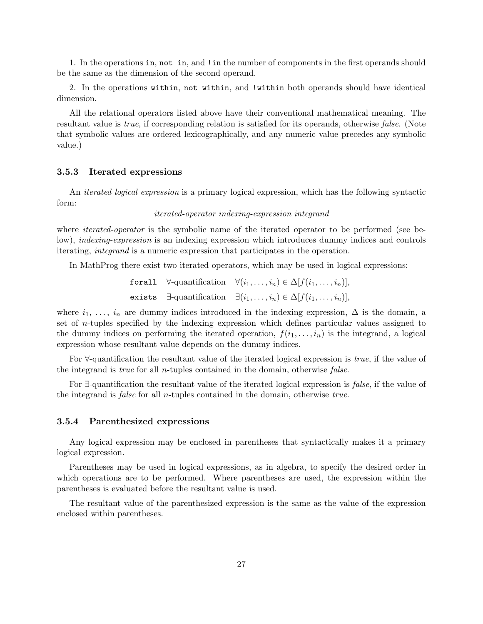1. In the operations in, not in, and !in the number of components in the first operands should be the same as the dimension of the second operand.

2. In the operations within, not within, and !within both operands should have identical dimension.

All the relational operators listed above have their conventional mathematical meaning. The resultant value is *true*, if corresponding relation is satisfied for its operands, otherwise *false*. (Note that symbolic values are ordered lexicographically, and any numeric value precedes any symbolic value.)

#### <span id="page-26-0"></span>**3.5.3 Iterated expressions**

An *iterated logical expression* is a primary logical expression, which has the following syntactic form:

#### *iterated-operator indexing-expression integrand*

where *iterated-operator* is the symbolic name of the iterated operator to be performed (see below), *indexing-expression* is an indexing expression which introduces dummy indices and controls iterating, *integrand* is a numeric expression that participates in the operation.

In MathProg there exist two iterated operators, which may be used in logical expressions:

$$
\begin{aligned}\n\text{for all} \quad & \forall \text{-quantification} \quad \forall (i_1, \dots, i_n) \in \Delta[f(i_1, \dots, i_n)], \\
\text{exists} \quad & \exists \text{-quantification} \quad \exists (i_1, \dots, i_n) \in \Delta[f(i_1, \dots, i_n)],\n\end{aligned}
$$

where  $i_1, \ldots, i_n$  are dummy indices introduced in the indexing expression,  $\Delta$  is the domain, a set of *n*-tuples specified by the indexing expression which defines particular values assigned to the dummy indices on performing the iterated operation,  $f(i_1, \ldots, i_n)$  is the integrand, a logical expression whose resultant value depends on the dummy indices.

For *∀*-quantification the resultant value of the iterated logical expression is *true*, if the value of the integrand is *true* for all *n*-tuples contained in the domain, otherwise *false*.

For *∃*-quantification the resultant value of the iterated logical expression is *false*, if the value of the integrand is *false* for all *n*-tuples contained in the domain, otherwise *true*.

#### <span id="page-26-1"></span>**3.5.4 Parenthesized expressions**

Any logical expression may be enclosed in parentheses that syntactically makes it a primary logical expression.

Parentheses may be used in logical expressions, as in algebra, to specify the desired order in which operations are to be performed. Where parentheses are used, the expression within the parentheses is evaluated before the resultant value is used.

The resultant value of the parenthesized expression is the same as the value of the expression enclosed within parentheses.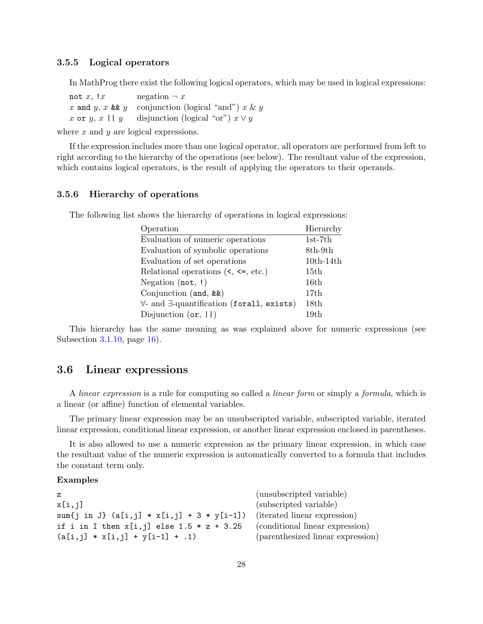# <span id="page-27-0"></span>**3.5.5 Logical operators**

In MathProg there exist the following logical operators, which may be used in logical expressions:

not *x*,  $!x$  negation  $\neg x$  $x$  and  $y$ ,  $x$  &&  $y$  conjunction (logical "and")  $x \& y$ *x* or *y*, *x* || *y* disjunction (logical "or")  $x \vee y$ 

where *x* and *y* are logical expressions.

If the expression includes more than one logical operator, all operators are performed from left to right according to the hierarchy of the operations (see below). The resultant value of the expression, which contains logical operators, is the result of applying the operators to their operands.

# <span id="page-27-1"></span>**3.5.6 Hierarchy of operations**

The following list shows the hierarchy of operations in logical expressions:

| Operation                                                                       | Hierarchy   |
|---------------------------------------------------------------------------------|-------------|
| Evaluation of numeric operations                                                | $1st-7th$   |
| Evaluation of symbolic operations                                               | 8th-9th     |
| Evaluation of set operations                                                    | $10th-14th$ |
| Relational operations $\langle \langle, \langle =, \text{etc.} \rangle \rangle$ | 15th        |
| Negation $(not, !)$                                                             | 16th        |
| Conjunction $(and, \&&)$                                                        | 17th        |
| $\forall$ - and $\exists$ -quantification (forall, exists)                      | 18th        |
| Disjunction $(or, 11)$                                                          | 19th        |

This hierarchy has the same meaning as was explained above for numeric expressions (see Subsection [3.1.10](#page-15-2), page [16\)](#page-15-2).

# <span id="page-27-2"></span>**3.6 Linear expressions**

A *linear expression* is a rule for computing so called a *linear form* or simply a *formula*, which is a linear (or affine) function of elemental variables.

The primary linear expression may be an unsubscripted variable, subscripted variable, iterated linear expression, conditional linear expression, or another linear expression enclosed in parentheses.

It is also allowed to use a numeric expression as the primary linear expression, in which case the resultant value of the numeric expression is automatically converted to a formula that includes the constant term only.

# **Examples**

| $\mathbf{z}$                                                             | (unsubscripted variable)          |
|--------------------------------------------------------------------------|-----------------------------------|
| x[i,j]                                                                   | (subscripted variable)            |
| sum {j in J} (a[i,j] * x[i,j] + 3 * y[i-1]) (iterated linear expression) |                                   |
| if i in I then $x[i, j]$ else 1.5 $* z + 3.25$                           | (conditional linear expression)   |
| $(a[i, j] * x[i, j] + y[i-1] + .1)$                                      | (parenthesized linear expression) |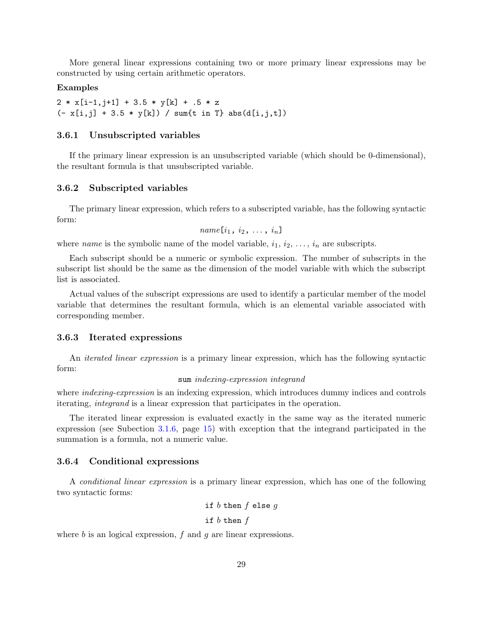More general linear expressions containing two or more primary linear expressions may be constructed by using certain arithmetic operators.

#### **Examples**

 $2 * x[i-1,j+1] + 3.5 * y[k] + .5 * z$  $(- x[i, j] + 3.5 * y[k]) / sum[t in T] abs(d[i, j, t])$ 

## <span id="page-28-0"></span>**3.6.1 Unsubscripted variables**

If the primary linear expression is an unsubscripted variable (which should be 0-dimensional), the resultant formula is that unsubscripted variable.

#### <span id="page-28-1"></span>**3.6.2 Subscripted variables**

The primary linear expression, which refers to a subscripted variable, has the following syntactic form:

$$
name[i_1, i_2, \ldots, i_n]
$$

where *name* is the symbolic name of the model variable,  $i_1, i_2, \ldots, i_n$  are subscripts.

Each subscript should be a numeric or symbolic expression. The number of subscripts in the subscript list should be the same as the dimension of the model variable with which the subscript list is associated.

Actual values of the subscript expressions are used to identify a particular member of the model variable that determines the resultant formula, which is an elemental variable associated with corresponding member.

### <span id="page-28-2"></span>**3.6.3 Iterated expressions**

An *iterated linear expression* is a primary linear expression, which has the following syntactic form:

#### sum *indexing-expression integrand*

where *indexing-expression* is an indexing expression, which introduces dummy indices and controls iterating, *integrand* is a linear expression that participates in the operation.

The iterated linear expression is evaluated exactly in the same way as the iterated numeric expression (see Subection [3.1.6](#page-14-0), page [15\)](#page-14-0) with exception that the integrand participated in the summation is a formula, not a numeric value.

#### <span id="page-28-3"></span>**3.6.4 Conditional expressions**

A *conditional linear expression* is a primary linear expression, which has one of the following two syntactic forms:

> if *b* then *f* else *g* if *b* then *f*

where *b* is an logical expression, *f* and *g* are linear expressions.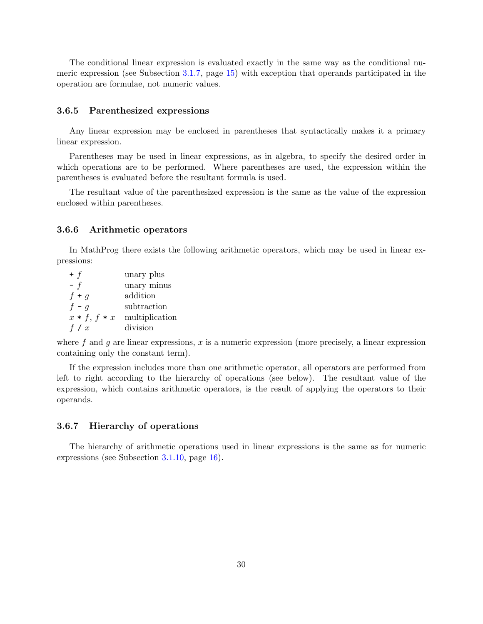The conditional linear expression is evaluated exactly in the same way as the conditional numeric expression (see Subsection [3.1.7](#page-14-1), page [15\)](#page-14-1) with exception that operands participated in the operation are formulae, not numeric values.

#### <span id="page-29-0"></span>**3.6.5 Parenthesized expressions**

Any linear expression may be enclosed in parentheses that syntactically makes it a primary linear expression.

Parentheses may be used in linear expressions, as in algebra, to specify the desired order in which operations are to be performed. Where parentheses are used, the expression within the parentheses is evaluated before the resultant formula is used.

The resultant value of the parenthesized expression is the same as the value of the expression enclosed within parentheses.

# <span id="page-29-1"></span>**3.6.6 Arithmetic operators**

In MathProg there exists the following arithmetic operators, which may be used in linear expressions:

| $+$ f          | unary plus     |
|----------------|----------------|
| $- f$          | unary minus    |
| $f + g$        | addition       |
| $f - g$        | subtraction    |
| $x * f, f * x$ | multiplication |
| f / x          | division       |

where f and g are linear expressions, x is a numeric expression (more precisely, a linear expression containing only the constant term).

If the expression includes more than one arithmetic operator, all operators are performed from left to right according to the hierarchy of operations (see below). The resultant value of the expression, which contains arithmetic operators, is the result of applying the operators to their operands.

### <span id="page-29-2"></span>**3.6.7 Hierarchy of operations**

The hierarchy of arithmetic operations used in linear expressions is the same as for numeric expressions (see Subsection [3.1.10](#page-15-2), page [16](#page-15-2)).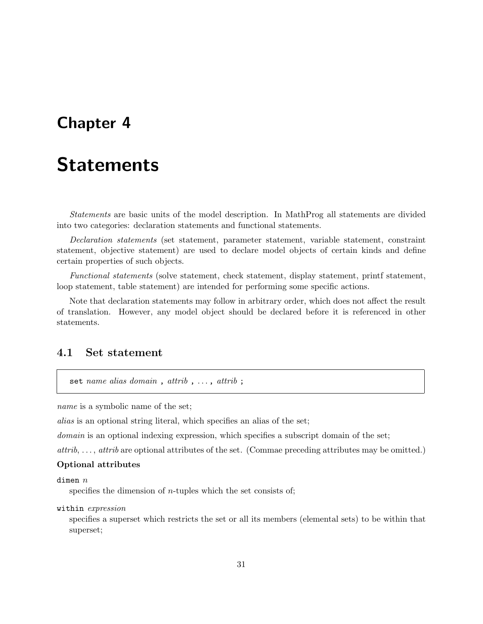# <span id="page-30-0"></span>**Chapter 4**

# **Statements**

*Statements* are basic units of the model description. In MathProg all statements are divided into two categories: declaration statements and functional statements.

*Declaration statements* (set statement, parameter statement, variable statement, constraint statement, objective statement) are used to declare model objects of certain kinds and define certain properties of such objects.

*Functional statements* (solve statement, check statement, display statement, printf statement, loop statement, table statement) are intended for performing some specific actions.

Note that declaration statements may follow in arbitrary order, which does not affect the result of translation. However, any model object should be declared before it is referenced in other statements.

# <span id="page-30-1"></span>**4.1 Set statement**

set *name alias domain*, *attrib*, ..., *attrib*;

*name* is a symbolic name of the set;

*alias* is an optional string literal, which specifies an alias of the set;

*domain* is an optional indexing expression, which specifies a subscript domain of the set;

*attrib*, ..., *attrib* are optional attributes of the set. (Commae preceding attributes may be omitted.)

#### **Optional attributes**

#### dimen *n*

specifies the dimension of *n*-tuples which the set consists of;

#### within *expression*

specifies a superset which restricts the set or all its members (elemental sets) to be within that superset;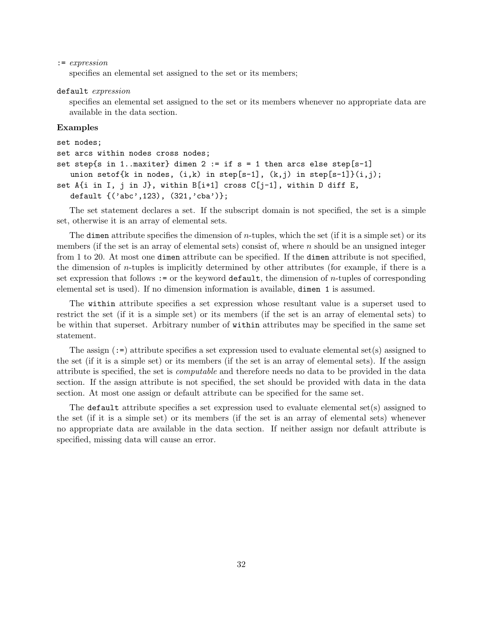#### := *expression*

specifies an elemental set assigned to the set or its members;

#### default *expression*

specifies an elemental set assigned to the set or its members whenever no appropriate data are available in the data section.

#### **Examples**

```
set nodes;
set arcs within nodes cross nodes;
set step{s in 1..maxiter} dimen 2 := if s = 1 then arcs else step[s-1]
   union setof{k in nodes, (i,k) in step[s-1], (k,j) in step[s-1]}(i,j);
set A\{i in I, j in J\}, within B[i+1] cross C[j-1], within D diff E,
   default {('abc',123), (321,'cba')};
```
The set statement declares a set. If the subscript domain is not specified, the set is a simple set, otherwise it is an array of elemental sets.

The dimen attribute specifies the dimension of *n*-tuples, which the set (if it is a simple set) or its members (if the set is an array of elemental sets) consist of, where *n* should be an unsigned integer from 1 to 20. At most one dimen attribute can be specified. If the dimen attribute is not specified, the dimension of *n*-tuples is implicitly determined by other attributes (for example, if there is a set expression that follows := or the keyword default, the dimension of *n*-tuples of corresponding elemental set is used). If no dimension information is available, dimen 1 is assumed.

The within attribute specifies a set expression whose resultant value is a superset used to restrict the set (if it is a simple set) or its members (if the set is an array of elemental sets) to be within that superset. Arbitrary number of within attributes may be specified in the same set statement.

The assign  $(:=)$  attribute specifies a set expression used to evaluate elemental set(s) assigned to the set (if it is a simple set) or its members (if the set is an array of elemental sets). If the assign attribute is specified, the set is *computable* and therefore needs no data to be provided in the data section. If the assign attribute is not specified, the set should be provided with data in the data section. At most one assign or default attribute can be specified for the same set.

The default attribute specifies a set expression used to evaluate elemental set(s) assigned to the set (if it is a simple set) or its members (if the set is an array of elemental sets) whenever no appropriate data are available in the data section. If neither assign nor default attribute is specified, missing data will cause an error.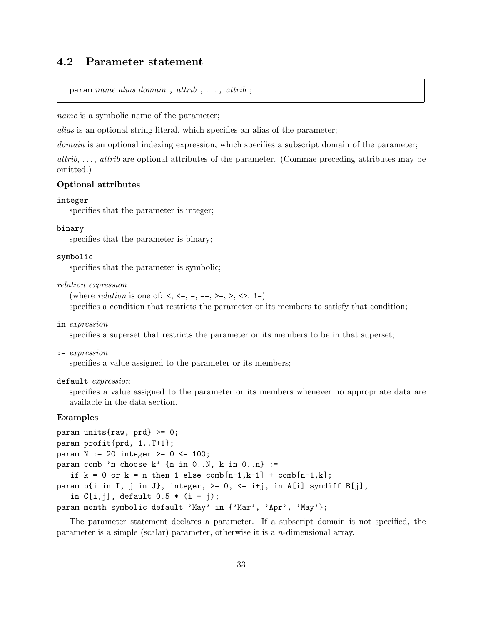# <span id="page-32-0"></span>**4.2 Parameter statement**

param *name alias domain* , *attrib* , . . . , *attrib* ;

*name* is a symbolic name of the parameter;

*alias* is an optional string literal, which specifies an alias of the parameter;

*domain* is an optional indexing expression, which specifies a subscript domain of the parameter;

*attrib*, ..., *attrib* are optional attributes of the parameter. (Commae preceding attributes may be omitted.)

### **Optional attributes**

#### integer

specifies that the parameter is integer;

## binary

specifies that the parameter is binary;

#### symbolic

specifies that the parameter is symbolic;

*relation expression*

(where *relation* is one of: <, <=, =,  $=$ , >=, >, <>, <>, !=)

specifies a condition that restricts the parameter or its members to satisfy that condition;

in *expression*

specifies a superset that restricts the parameter or its members to be in that superset;

:= *expression*

specifies a value assigned to the parameter or its members;

### default *expression*

specifies a value assigned to the parameter or its members whenever no appropriate data are available in the data section.

### **Examples**

```
param units\{raw, prd\} >= 0;
param profit{prd, 1..T+1};
param N := 20 integer >= 0 \le 100;
param comb 'n choose k' \{n \text{ in } 0..N, k \text{ in } 0..n\} :=
   if k = 0 or k = n then 1 else comb[n-1, k-1] + comb[n-1, k];
param p{i in I, j in J}, integer, >= 0, <= i+j, in A[i] symdiff B[j],
   in C[i,j], default 0.5 * (i + j);
param month symbolic default 'May' in {'Mar', 'Apr', 'May'};
```
The parameter statement declares a parameter. If a subscript domain is not specified, the parameter is a simple (scalar) parameter, otherwise it is a *n*-dimensional array.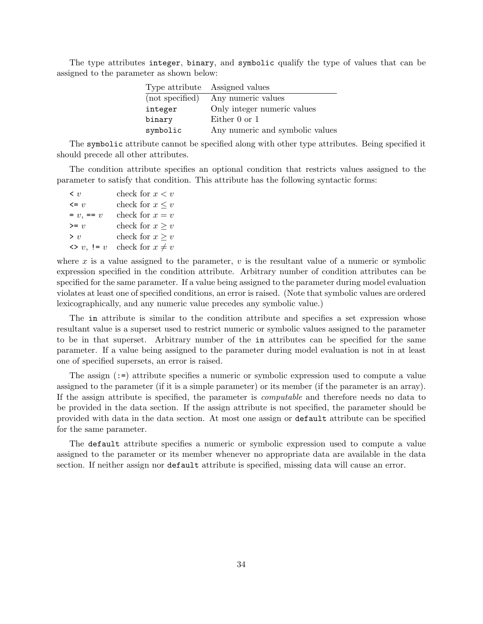The type attributes integer, binary, and symbolic qualify the type of values that can be assigned to the parameter as shown below:

|                 | Type attribute Assigned values  |
|-----------------|---------------------------------|
| (not specified) | Any numeric values              |
| integer         | Only integer numeric values     |
| binary          | Either $0$ or $1$               |
| symbolic        | Any numeric and symbolic values |

The symbolic attribute cannot be specified along with other type attributes. Being specified it should precede all other attributes.

The condition attribute specifies an optional condition that restricts values assigned to the parameter to satisfy that condition. This attribute has the following syntactic forms:

| $\langle v \rangle$ | check for $x < v$    |
|---------------------|----------------------|
| $\leq v$            | check for $x \leq v$ |
| $= v, == v$         | check for $x = v$    |
| $>= v$              | check for $x \geq v$ |
| > v                 | check for $x \geq v$ |
| $\iff v, \; != v$   | check for $x \neq v$ |

where  $x$  is a value assigned to the parameter,  $v$  is the resultant value of a numeric or symbolic expression specified in the condition attribute. Arbitrary number of condition attributes can be specified for the same parameter. If a value being assigned to the parameter during model evaluation violates at least one of specified conditions, an error is raised. (Note that symbolic values are ordered lexicographically, and any numeric value precedes any symbolic value.)

The in attribute is similar to the condition attribute and specifies a set expression whose resultant value is a superset used to restrict numeric or symbolic values assigned to the parameter to be in that superset. Arbitrary number of the in attributes can be specified for the same parameter. If a value being assigned to the parameter during model evaluation is not in at least one of specified supersets, an error is raised.

The assign (:=) attribute specifies a numeric or symbolic expression used to compute a value assigned to the parameter (if it is a simple parameter) or its member (if the parameter is an array). If the assign attribute is specified, the parameter is *computable* and therefore needs no data to be provided in the data section. If the assign attribute is not specified, the parameter should be provided with data in the data section. At most one assign or default attribute can be specified for the same parameter.

The default attribute specifies a numeric or symbolic expression used to compute a value assigned to the parameter or its member whenever no appropriate data are available in the data section. If neither assign nor default attribute is specified, missing data will cause an error.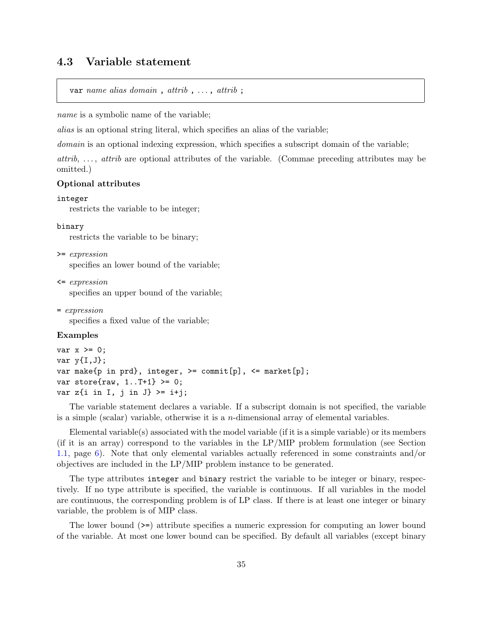# <span id="page-34-0"></span>**4.3 Variable statement**

```
var name alias domain , attrib , . . . , attrib ;
```
*name* is a symbolic name of the variable;

*alias* is an optional string literal, which specifies an alias of the variable;

*domain* is an optional indexing expression, which specifies a subscript domain of the variable;

*attrib*, ..., *attrib* are optional attributes of the variable. (Commae preceding attributes may be omitted.)

### **Optional attributes**

#### integer

restricts the variable to be integer;

#### binary

restricts the variable to be binary;

>= *expression*

specifies an lower bound of the variable;

<= *expression*

specifies an upper bound of the variable;

= *expression*

specifies a fixed value of the variable;

#### **Examples**

```
var x \ge 0;
var y{I,J};var make{p in prd}, integer, >= commit[p], <= market[p];
var store\{raw, 1..T+1\} >= 0;
var z\{i in I, j in J} >= i+j;
```
The variable statement declares a variable. If a subscript domain is not specified, the variable is a simple (scalar) variable, otherwise it is a *n*-dimensional array of elemental variables.

Elemental variable(s) associated with the model variable (if it is a simple variable) or its members (if it is an array) correspond to the variables in the LP/MIP problem formulation (see Section [1.1,](#page-5-1) page [6\)](#page-5-1). Note that only elemental variables actually referenced in some constraints and/or objectives are included in the LP/MIP problem instance to be generated.

The type attributes integer and binary restrict the variable to be integer or binary, respectively. If no type attribute is specified, the variable is continuous. If all variables in the model are continuous, the corresponding problem is of LP class. If there is at least one integer or binary variable, the problem is of MIP class.

The lower bound (>=) attribute specifies a numeric expression for computing an lower bound of the variable. At most one lower bound can be specified. By default all variables (except binary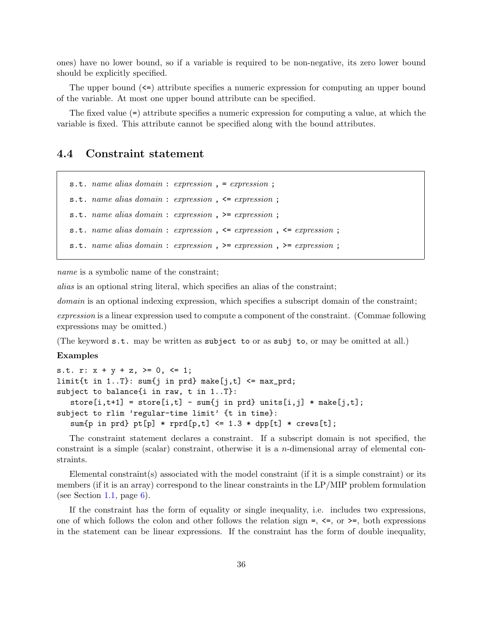ones) have no lower bound, so if a variable is required to be non-negative, its zero lower bound should be explicitly specified.

The upper bound  $\leq$  attribute specifies a numeric expression for computing an upper bound of the variable. At most one upper bound attribute can be specified.

The fixed value (=) attribute specifies a numeric expression for computing a value, at which the variable is fixed. This attribute cannot be specified along with the bound attributes.

# <span id="page-35-0"></span>**4.4 Constraint statement**

s.t. *name alias domain* : *expression* , = *expression* ; s.t. *name alias domain* : *expression* , <= *expression* ; s.t. *name alias domain* : *expression* , >= *expression* ; s.t. *name alias domain* : *expression* , <= *expression* , <= *expression* ; s.t. *name alias domain* : *expression* , >= *expression* , >= *expression* ;

*name* is a symbolic name of the constraint;

*alias* is an optional string literal, which specifies an alias of the constraint;

*domain* is an optional indexing expression, which specifies a subscript domain of the constraint;

*expression* is a linear expression used to compute a component of the constraint. (Commae following expressions may be omitted.)

(The keyword s.t. may be written as subject to or as subj to, or may be omitted at all.)

#### **Examples**

```
s.t. r: x + y + z, >= 0, <= 1;
limit{t in 1..T}: sum{j in prd} make[j,t] <= max_prd;
subject to balance{i in raw, t in 1..T}:
   store[i, t+1] = store[i, t] - sum\{j \text{ in } prd\} \text{ units}[i, j] * make[j, t];subject to rlim 'regular-time limit' {t in time}:
   sum{p \text{ in } prd} \text{ pt}[p] * rprd[p, t] \le 1.3 * dpp[t] * crews[t];
```
The constraint statement declares a constraint. If a subscript domain is not specified, the constraint is a simple (scalar) constraint, otherwise it is a *n*-dimensional array of elemental constraints.

Elemental constraint(s) associated with the model constraint (if it is a simple constraint) or its members (if it is an array) correspond to the linear constraints in the LP/MIP problem formulation (see Section [1.1](#page-5-1), page  $6$ ).

If the constraint has the form of equality or single inequality, i.e. includes two expressions, one of which follows the colon and other follows the relation sign  $=$ ,  $\leq$ , or  $\geq$ , both expressions in the statement can be linear expressions. If the constraint has the form of double inequality,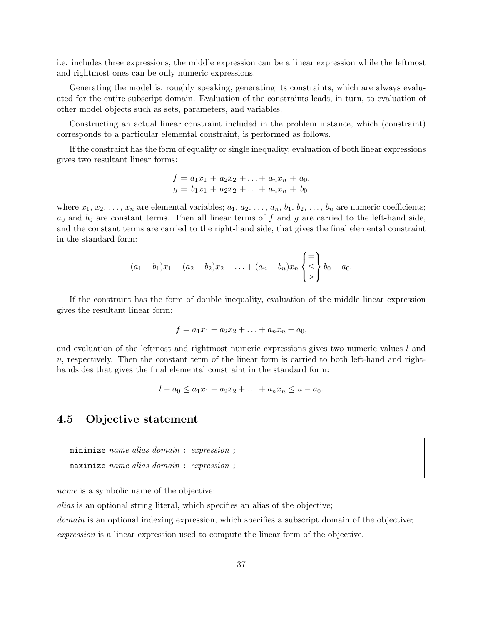i.e. includes three expressions, the middle expression can be a linear expression while the leftmost and rightmost ones can be only numeric expressions.

Generating the model is, roughly speaking, generating its constraints, which are always evaluated for the entire subscript domain. Evaluation of the constraints leads, in turn, to evaluation of other model objects such as sets, parameters, and variables.

Constructing an actual linear constraint included in the problem instance, which (constraint) corresponds to a particular elemental constraint, is performed as follows.

If the constraint has the form of equality or single inequality, evaluation of both linear expressions gives two resultant linear forms:

$$
f = a_1x_1 + a_2x_2 + \ldots + a_nx_n + a_0,
$$
  
\n
$$
g = b_1x_1 + a_2x_2 + \ldots + a_nx_n + b_0,
$$

where  $x_1, x_2, \ldots, x_n$  are elemental variables;  $a_1, a_2, \ldots, a_n, b_1, b_2, \ldots, b_n$  are numeric coefficients;  $a_0$  and  $b_0$  are constant terms. Then all linear terms of  $f$  and  $g$  are carried to the left-hand side, and the constant terms are carried to the right-hand side, that gives the final elemental constraint in the standard form:

$$
(a_1-b_1)x_1 + (a_2-b_2)x_2 + \ldots + (a_n-b_n)x_n \begin{cases} = \\ \leq \\ \leq \end{cases} b_0 - a_0.
$$

If the constraint has the form of double inequality, evaluation of the middle linear expression gives the resultant linear form:

$$
f = a_1 x_1 + a_2 x_2 + \ldots + a_n x_n + a_0,
$$

and evaluation of the leftmost and rightmost numeric expressions gives two numeric values *l* and *u*, respectively. Then the constant term of the linear form is carried to both left-hand and righthandsides that gives the final elemental constraint in the standard form:

$$
l - a_0 \le a_1 x_1 + a_2 x_2 + \ldots + a_n x_n \le u - a_0.
$$

## **4.5 Objective statement**

```
minimize name alias domain : expression ;
```

```
maximize name alias domain : expression ;
```
*name* is a symbolic name of the objective;

*alias* is an optional string literal, which specifies an alias of the objective;

*domain* is an optional indexing expression, which specifies a subscript domain of the objective;

*expression* is a linear expression used to compute the linear form of the objective.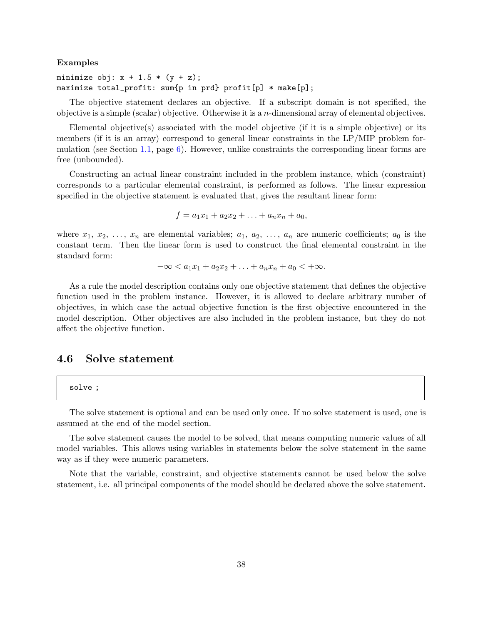#### **Examples**

minimize obj:  $x + 1.5 * (y + z)$ ; maximize total\_profit: sum{p in prd} profit[p] \* make[p];

The objective statement declares an objective. If a subscript domain is not specified, the objective is a simple (scalar) objective. Otherwise it is a *n*-dimensional array of elemental objectives.

Elemental objective(s) associated with the model objective (if it is a simple objective) or its members (if it is an array) correspond to general linear constraints in the LP/MIP problem for-mulation (see Section [1.1,](#page-5-0) page [6](#page-5-0)). However, unlike constraints the corresponding linear forms are free (unbounded).

Constructing an actual linear constraint included in the problem instance, which (constraint) corresponds to a particular elemental constraint, is performed as follows. The linear expression specified in the objective statement is evaluated that, gives the resultant linear form:

$$
f = a_1x_1 + a_2x_2 + \ldots + a_nx_n + a_0,
$$

where  $x_1, x_2, \ldots, x_n$  are elemental variables;  $a_1, a_2, \ldots, a_n$  are numeric coefficients;  $a_0$  is the constant term. Then the linear form is used to construct the final elemental constraint in the standard form:

$$
-\infty < a_1 x_1 + a_2 x_2 + \ldots + a_n x_n + a_0 < +\infty.
$$

As a rule the model description contains only one objective statement that defines the objective function used in the problem instance. However, it is allowed to declare arbitrary number of objectives, in which case the actual objective function is the first objective encountered in the model description. Other objectives are also included in the problem instance, but they do not affect the objective function.

## **4.6 Solve statement**

#### solve ;

The solve statement is optional and can be used only once. If no solve statement is used, one is assumed at the end of the model section.

The solve statement causes the model to be solved, that means computing numeric values of all model variables. This allows using variables in statements below the solve statement in the same way as if they were numeric parameters.

Note that the variable, constraint, and objective statements cannot be used below the solve statement, i.e. all principal components of the model should be declared above the solve statement.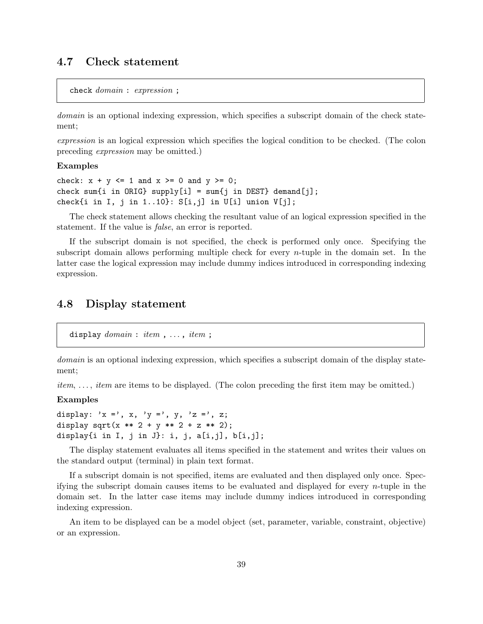# **4.7 Check statement**

check *domain* : *expression* ;

*domain* is an optional indexing expression, which specifies a subscript domain of the check statement;

*expression* is an logical expression which specifies the logical condition to be checked. (The colon preceding *expression* may be omitted.)

#### **Examples**

check:  $x + y \le 1$  and  $x \ge 0$  and  $y \ge 0$ ; check sum{i in ORIG} supply[i] = sum{j in DEST} demand[j]; check $\{i$  in I, j in 1..10 $\}$ :  $S[i, j]$  in  $U[i]$  union  $V[j]$ ;

The check statement allows checking the resultant value of an logical expression specified in the statement. If the value is *false*, an error is reported.

If the subscript domain is not specified, the check is performed only once. Specifying the subscript domain allows performing multiple check for every *n*-tuple in the domain set. In the latter case the logical expression may include dummy indices introduced in corresponding indexing expression.

## **4.8 Display statement**

```
display domain: item, ..., item;
```
*domain* is an optional indexing expression, which specifies a subscript domain of the display statement;

*item*, ..., *item* are items to be displayed. (The colon preceding the first item may be omitted.)

### **Examples**

```
display: 'x =', x, 'y =', y, 'z =', z;
display sqrt(x ** 2 + y ** 2 + z ** 2);
display\{i in I, j in J\}: i, j, a[i, j], b[i, j];
```
The display statement evaluates all items specified in the statement and writes their values on the standard output (terminal) in plain text format.

If a subscript domain is not specified, items are evaluated and then displayed only once. Specifying the subscript domain causes items to be evaluated and displayed for every *n*-tuple in the domain set. In the latter case items may include dummy indices introduced in corresponding indexing expression.

An item to be displayed can be a model object (set, parameter, variable, constraint, objective) or an expression.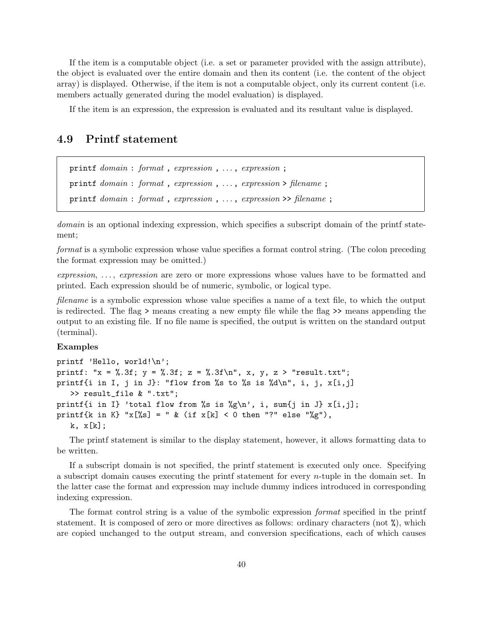If the item is a computable object (i.e. a set or parameter provided with the assign attribute), the object is evaluated over the entire domain and then its content (i.e. the content of the object array) is displayed. Otherwise, if the item is not a computable object, only its current content (i.e. members actually generated during the model evaluation) is displayed.

If the item is an expression, the expression is evaluated and its resultant value is displayed.

## **4.9 Printf statement**

```
printf domain : format , expression , . . . , expression ;
printf domain : format , expression , . . . , expression > filename ;
printf domain : format , expression , . . . , expression >> filename ;
```
*domain* is an optional indexing expression, which specifies a subscript domain of the printf statement;

*format* is a symbolic expression whose value specifies a format control string. (The colon preceding the format expression may be omitted.)

*expression*, . . . , *expression* are zero or more expressions whose values have to be formatted and printed. Each expression should be of numeric, symbolic, or logical type.

*filename* is a symbolic expression whose value specifies a name of a text file, to which the output is redirected. The flag > means creating a new empty file while the flag >> means appending the output to an existing file. If no file name is specified, the output is written on the standard output (terminal).

#### **Examples**

printf 'Hello, world!\n'; printf: "x = %.3f; y = %.3f; z = %.3f\n", x, y, z > "result.txt"; printf{i in I, j in J}: "flow from %s to %s is %d\n", i, j,  $x[i,j]$ >> result\_file & ".txt"; printf{i in I} 'total flow from %s is %g\n', i, sum{j in J}  $x[i,j]$ ; printf{k in K} "x[%s] = " & (if x[k] < 0 then "?" else "%g"),  $k, x[k];$ 

The printf statement is similar to the display statement, however, it allows formatting data to be written.

If a subscript domain is not specified, the printf statement is executed only once. Specifying a subscript domain causes executing the printf statement for every *n*-tuple in the domain set. In the latter case the format and expression may include dummy indices introduced in corresponding indexing expression.

The format control string is a value of the symbolic expression *format* specified in the printf statement. It is composed of zero or more directives as follows: ordinary characters (not %), which are copied unchanged to the output stream, and conversion specifications, each of which causes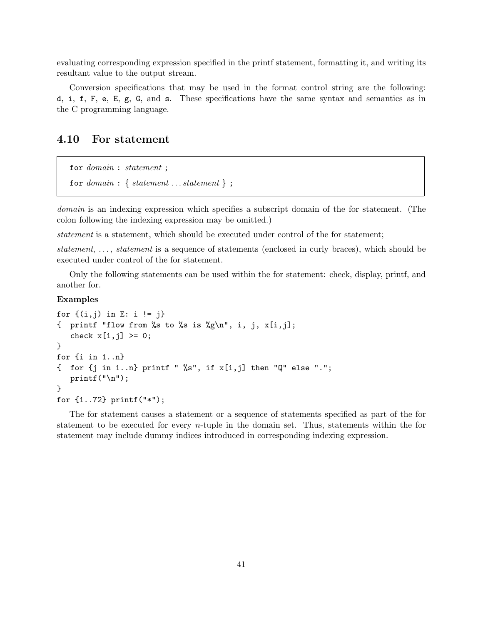evaluating corresponding expression specified in the printf statement, formatting it, and writing its resultant value to the output stream.

Conversion specifications that may be used in the format control string are the following: d, i, f, F, e, E, g, G, and s. These specifications have the same syntax and semantics as in the C programming language.

## **4.10 For statement**

```
for domain : statement ;
for domain: \{ statement \dots statement\};
```
*domain* is an indexing expression which specifies a subscript domain of the for statement. (The colon following the indexing expression may be omitted.)

*statement* is a statement, which should be executed under control of the for statement;

*statement*, ..., *statement* is a sequence of statements (enclosed in curly braces), which should be executed under control of the for statement.

Only the following statements can be used within the for statement: check, display, printf, and another for.

## **Examples**

```
for \{(i, j) \text{ in } E: i != j\}{ printf "flow from %s to %s is %g\n", i, j, x[i,j];
   check x[i,j] \ge 0;
}
for {i in 1..n}
\{ for \{j in 1..n} printf " %s", if x[i,j] then "Q" else ".";
   printf("n");
}
for {1..72} printf("*");
```
The for statement causes a statement or a sequence of statements specified as part of the for statement to be executed for every *n*-tuple in the domain set. Thus, statements within the for statement may include dummy indices introduced in corresponding indexing expression.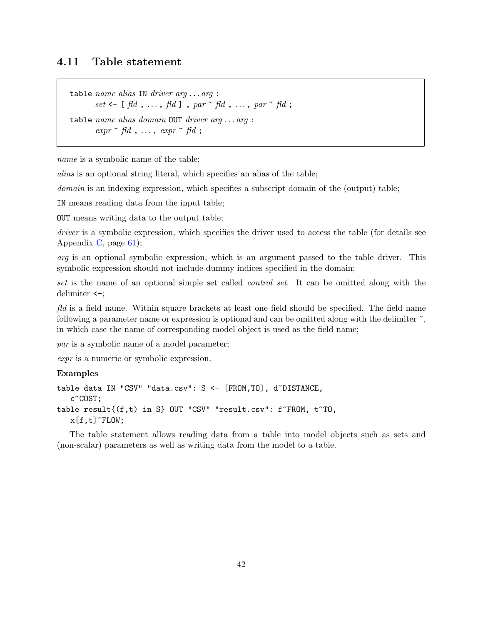## **4.11 Table statement**

table *name alias* IN *driver arg* . . . *arg* : *set* <- [ *fld* , . . . , *fld* ] , *par* ~ *fld* , . . . , *par* ~ *fld* ; table *name alias domain* OUT *driver arg* . . . *arg* :  $\exp r \uparrow \text{fd}$ ,  $\ldots$ ,  $\exp r \uparrow \text{fd}$ ;

*name* is a symbolic name of the table;

*alias* is an optional string literal, which specifies an alias of the table;

*domain* is an indexing expression, which specifies a subscript domain of the (output) table;

IN means reading data from the input table;

OUT means writing data to the output table;

*driver* is a symbolic expression, which specifies the driver used to access the table (for details see Appendix [C,](#page-60-0) page [61\)](#page-60-0);

*arg* is an optional symbolic expression, which is an argument passed to the table driver. This symbolic expression should not include dummy indices specified in the domain;

*set* is the name of an optional simple set called *control set*. It can be omitted along with the delimiter <-;

*fld* is a field name. Within square brackets at least one field should be specified. The field name following a parameter name or expression is optional and can be omitted along with the delimiter  $\tilde{\cdot}$ , in which case the name of corresponding model object is used as the field name;

*par* is a symbolic name of a model parameter;

*expr* is a numeric or symbolic expression.

## **Examples**

```
table data IN "CSV" "data.csv": S <- [FROM,TO], d~DISTANCE,
   c~COST;
table result\{(f,t) in S} OUT "CSV" "result.csv": f~FROM, t~TO,
   x[f,t]^{\sim}FLOW;
```
The table statement allows reading data from a table into model objects such as sets and (non-scalar) parameters as well as writing data from the model to a table.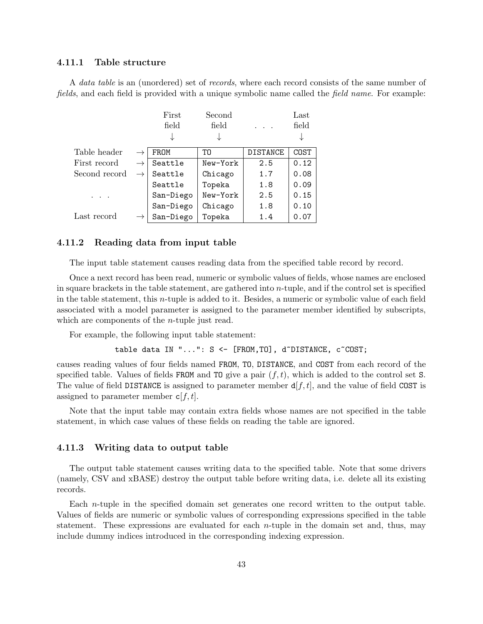## **4.11.1 Table structure**

A *data table* is an (unordered) set of *records*, where each record consists of the same number of *fields*, and each field is provided with a unique symbolic name called the *field name*. For example:

|               | First     | Second   |                 | Last  |
|---------------|-----------|----------|-----------------|-------|
|               | field     | field    |                 | field |
|               |           | ↓        |                 |       |
| Table header  | FROM      | T0       | <b>DISTANCE</b> | COST  |
| First record  | Seattle   | New-York | 2.5             | 0.12  |
| Second record | Seattle   | Chicago  | 1.7             | 0.08  |
|               | Seattle   | Topeka   | 1.8             | 0.09  |
|               | San-Diego | New-York | 2.5             | 0.15  |
|               | San-Diego | Chicago  | 1.8             | 0.10  |
| Last record   | San-Diego | Topeka   | 1.4             | 0.07  |

## **4.11.2 Reading data from input table**

The input table statement causes reading data from the specified table record by record.

Once a next record has been read, numeric or symbolic values of fields, whose names are enclosed in square brackets in the table statement, are gathered into *n*-tuple, and if the control set is specified in the table statement, this *n*-tuple is added to it. Besides, a numeric or symbolic value of each field associated with a model parameter is assigned to the parameter member identified by subscripts, which are components of the *n*-tuple just read.

For example, the following input table statement:

table data IN "...": S <- [FROM, TO], d~DISTANCE, c~COST;

causes reading values of four fields named FROM, TO, DISTANCE, and COST from each record of the specified table. Values of fields **FROM** and **TO** give a pair  $(f, t)$ , which is added to the control set **S**. The value of field DISTANCE is assigned to parameter member  $d[f, t]$ , and the value of field COST is assigned to parameter member c[*f, t*].

Note that the input table may contain extra fields whose names are not specified in the table statement, in which case values of these fields on reading the table are ignored.

### **4.11.3 Writing data to output table**

The output table statement causes writing data to the specified table. Note that some drivers (namely, CSV and xBASE) destroy the output table before writing data, i.e. delete all its existing records.

Each *n*-tuple in the specified domain set generates one record written to the output table. Values of fields are numeric or symbolic values of corresponding expressions specified in the table statement. These expressions are evaluated for each *n*-tuple in the domain set and, thus, may include dummy indices introduced in the corresponding indexing expression.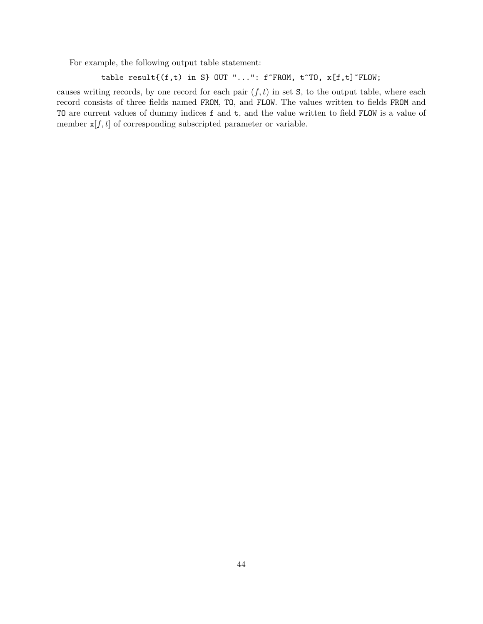For example, the following output table statement:

```
table result\{(f,t) in S} OUT "...": f~FROM, t~TO, x[f,t]~FLOW;
```
causes writing records, by one record for each pair  $(f, t)$  in set  $S$ , to the output table, where each record consists of three fields named FROM, TO, and FLOW. The values written to fields FROM and TO are current values of dummy indices f and t, and the value written to field FLOW is a value of member  $x[f, t]$  of corresponding subscripted parameter or variable.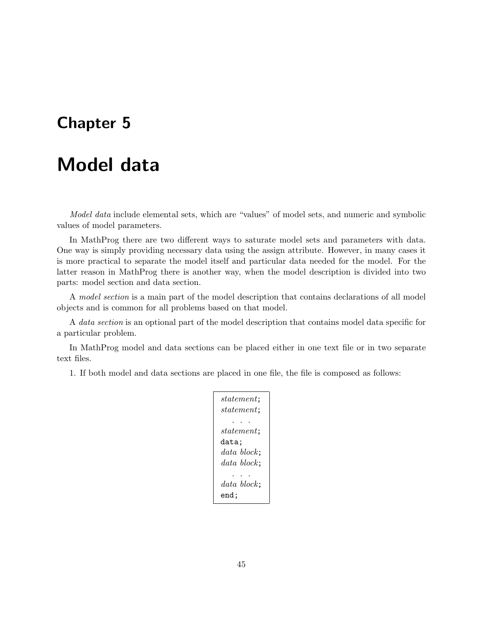# **Chapter 5**

# **Model data**

*Model data* include elemental sets, which are "values" of model sets, and numeric and symbolic values of model parameters.

In MathProg there are two different ways to saturate model sets and parameters with data. One way is simply providing necessary data using the assign attribute. However, in many cases it is more practical to separate the model itself and particular data needed for the model. For the latter reason in MathProg there is another way, when the model description is divided into two parts: model section and data section.

A *model section* is a main part of the model description that contains declarations of all model objects and is common for all problems based on that model.

A *data section* is an optional part of the model description that contains model data specific for a particular problem.

In MathProg model and data sections can be placed either in one text file or in two separate text files.

1. If both model and data sections are placed in one file, the file is composed as follows:

*statement*; *statement*; . . . *statement*; data; *data block*; *data block*; . . . *data block*; end;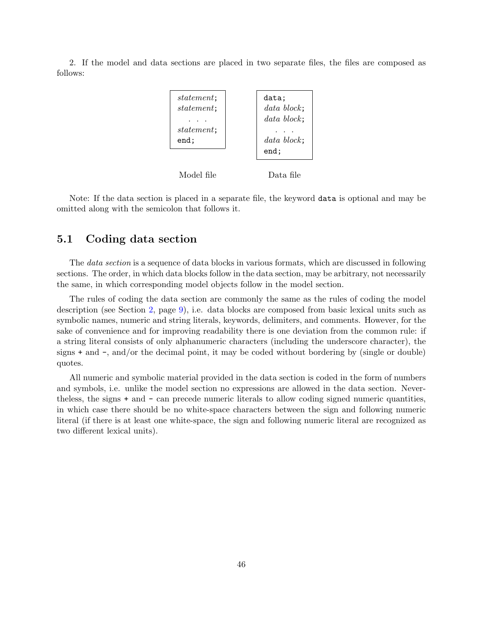2. If the model and data sections are placed in two separate files, the files are composed as follows:



Note: If the data section is placed in a separate file, the keyword data is optional and may be omitted along with the semicolon that follows it.

## **5.1 Coding data section**

The *data section* is a sequence of data blocks in various formats, which are discussed in following sections. The order, in which data blocks follow in the data section, may be arbitrary, not necessarily the same, in which corresponding model objects follow in the model section.

The rules of coding the data section are commonly the same as the rules of coding the model description (see Section [2](#page-8-0), page [9](#page-8-0)), i.e. data blocks are composed from basic lexical units such as symbolic names, numeric and string literals, keywords, delimiters, and comments. However, for the sake of convenience and for improving readability there is one deviation from the common rule: if a string literal consists of only alphanumeric characters (including the underscore character), the signs + and -, and/or the decimal point, it may be coded without bordering by (single or double) quotes.

All numeric and symbolic material provided in the data section is coded in the form of numbers and symbols, i.e. unlike the model section no expressions are allowed in the data section. Nevertheless, the signs + and - can precede numeric literals to allow coding signed numeric quantities, in which case there should be no white-space characters between the sign and following numeric literal (if there is at least one white-space, the sign and following numeric literal are recognized as two different lexical units).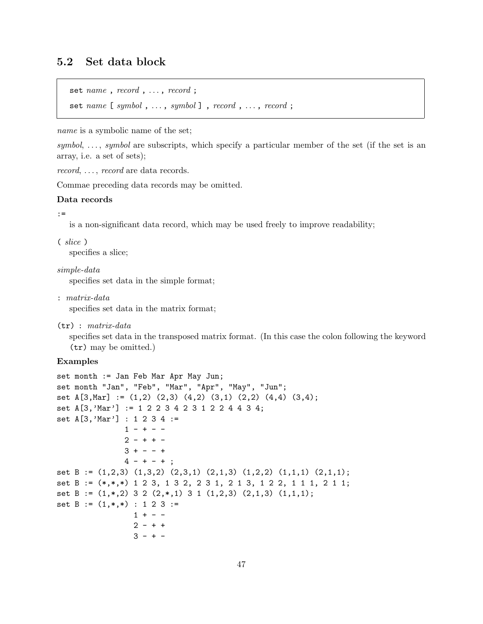# **5.2 Set data block**

```
set name, record, ..., record;
```
set *name* [ *symbol* , ..., *symbol* ], *record*, ..., *record*;

*name* is a symbolic name of the set;

*symbol*, ..., *symbol* are subscripts, which specify a particular member of the set (if the set is an array, i.e. a set of sets);

*record*, ..., *record* are data records.

Commae preceding data records may be omitted.

## **Data records**

#### :=

is a non-significant data record, which may be used freely to improve readability;

( *slice* )

specifies a slice;

*simple-data*

specifies set data in the simple format;

: *matrix-data*

specifies set data in the matrix format;

(tr) : *matrix-data*

specifies set data in the transposed matrix format. (In this case the colon following the keyword (tr) may be omitted.)

#### **Examples**

```
set month := Jan Feb Mar Apr May Jun;
set month "Jan", "Feb", "Mar", "Apr", "May", "Jun";
set A[3,Mar] := (1,2) (2,3) (4,2) (3,1) (2,2) (4,4) (3,4);
set A[3,'Mar'] := 1 2 2 3 4 2 3 1 2 2 4 4 3 4;
set A[3,'Mar'] : 1 2 3 4 :=
               1 - + - -2 - + + -3 + - - +4 - + - + ;
set B := (1,2,3) (1,3,2) (2,3,1) (2,1,3) (1,2,2) (1,1,1) (2,1,1);
set B := (*,*,*) 1 2 3, 1 3 2, 2 3 1, 2 1 3, 1 2 2, 1 1 1, 2 1 1;
set B := (1,*,2) 3 2 (2,*,1) 3 1 (1,2,3) (2,1,3) (1,1,1);
set B := (1,*,*) : 1 2 3 :=
                 1 + - -2 - + +3 - + -
```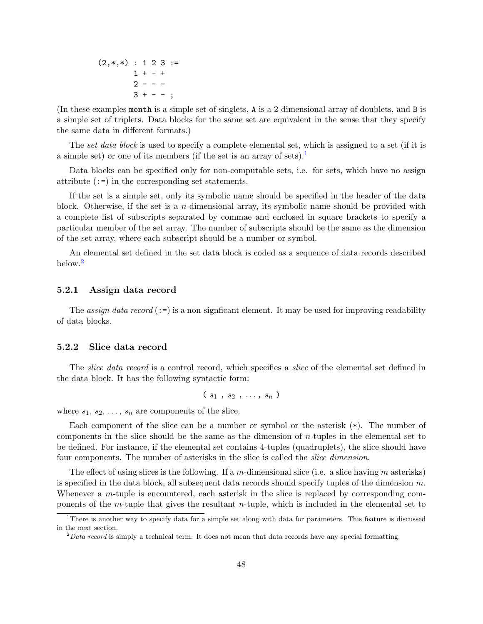$(2,*,*)$  : 1 2 3 :=  $1 + - +$  $2 - - 3 + - -$  ;

(In these examples month is a simple set of singlets, A is a 2-dimensional array of doublets, and B is a simple set of triplets. Data blocks for the same set are equivalent in the sense that they specify the same data in different formats.)

The *set data block* is used to specify a complete elemental set, which is assigned to a set (if it is a simple set) or one of its members (if the set is an array of sets).<sup>[1](#page-47-0)</sup>

Data blocks can be specified only for non-computable sets, i.e. for sets, which have no assign attribute (:=) in the corresponding set statements.

If the set is a simple set, only its symbolic name should be specified in the header of the data block. Otherwise, if the set is a *n*-dimensional array, its symbolic name should be provided with a complete list of subscripts separated by commae and enclosed in square brackets to specify a particular member of the set array. The number of subscripts should be the same as the dimension of the set array, where each subscript should be a number or symbol.

An elemental set defined in the set data block is coded as a sequence of data records described below.<sup>[2](#page-47-1)</sup>

### **5.2.1 Assign data record**

The *assign data record*  $(:=)$  is a non-significant element. It may be used for improving readability of data blocks.

#### **5.2.2 Slice data record**

The *slice data record* is a control record, which specifies a *slice* of the elemental set defined in the data block. It has the following syntactic form:

$$
(s_1, s_2, \ldots, s_n)
$$

where  $s_1, s_2, \ldots, s_n$  are components of the slice.

Each component of the slice can be a number or symbol or the asterisk (\*). The number of components in the slice should be the same as the dimension of *n*-tuples in the elemental set to be defined. For instance, if the elemental set contains 4-tuples (quadruplets), the slice should have four components. The number of asterisks in the slice is called the *slice dimension*.

The effect of using slices is the following. If a *m*-dimensional slice (i.e. a slice having *m* asterisks) is specified in the data block, all subsequent data records should specify tuples of the dimension *m*. Whenever a *m*-tuple is encountered, each asterisk in the slice is replaced by corresponding components of the *m*-tuple that gives the resultant *n*-tuple, which is included in the elemental set to

<span id="page-47-0"></span><sup>&</sup>lt;sup>1</sup>There is another way to specify data for a simple set along with data for parameters. This feature is discussed in the next section.

<span id="page-47-1"></span><sup>2</sup>*Data record* is simply a technical term. It does not mean that data records have any special formatting.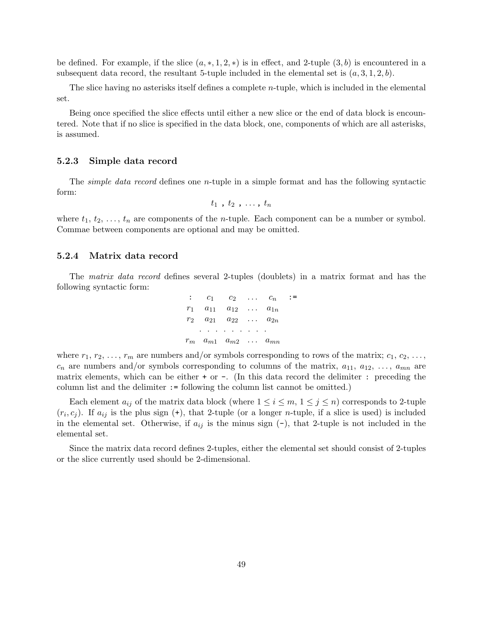be defined. For example, if the slice  $(a, *, 1, 2, *)$  is in effect, and 2-tuple  $(3, b)$  is encountered in a subsequent data record, the resultant 5-tuple included in the elemental set is  $(a, 3, 1, 2, b)$ .

The slice having no asterisks itself defines a complete *n*-tuple, which is included in the elemental set.

Being once specified the slice effects until either a new slice or the end of data block is encountered. Note that if no slice is specified in the data block, one, components of which are all asterisks, is assumed.

### **5.2.3 Simple data record**

The *simple data record* defines one *n*-tuple in a simple format and has the following syntactic form:

$$
t_1, t_2, \ldots, t_n
$$

where  $t_1, t_2, \ldots, t_n$  are components of the *n*-tuple. Each component can be a number or symbol. Commae between components are optional and may be omitted.

### **5.2.4 Matrix data record**

The *matrix data record* defines several 2-tuples (doublets) in a matrix format and has the following syntactic form:

$$
\begin{array}{ccccccccc}\n\vdots & c_1 & c_2 & \dots & c_n & \cdots \\
r_1 & a_{11} & a_{12} & \dots & a_{1n} \\
r_2 & a_{21} & a_{22} & \dots & a_{2n} \\
\vdots & \vdots & \vdots & \vdots & \vdots \\
r_m & a_{m1} & a_{m2} & \dots & a_{mn}\n\end{array}
$$

where  $r_1, r_2, \ldots, r_m$  are numbers and/or symbols corresponding to rows of the matrix;  $c_1, c_2, \ldots$ ,  $c_n$  are numbers and/or symbols corresponding to columns of the matrix,  $a_{11}$ ,  $a_{12}$ , ...,  $a_{mn}$  are matrix elements, which can be either + or -. (In this data record the delimiter : preceding the column list and the delimiter := following the column list cannot be omitted.)

Each element  $a_{ij}$  of the matrix data block (where  $1 \leq i \leq m$ ,  $1 \leq j \leq n$ ) corresponds to 2-tuple  $(r_i, c_j)$ . If  $a_{ij}$  is the plus sign  $(+)$ , that 2-tuple (or a longer *n*-tuple, if a slice is used) is included in the elemental set. Otherwise, if  $a_{ij}$  is the minus sign  $(-)$ , that 2-tuple is not included in the elemental set.

Since the matrix data record defines 2-tuples, either the elemental set should consist of 2-tuples or the slice currently used should be 2-dimensional.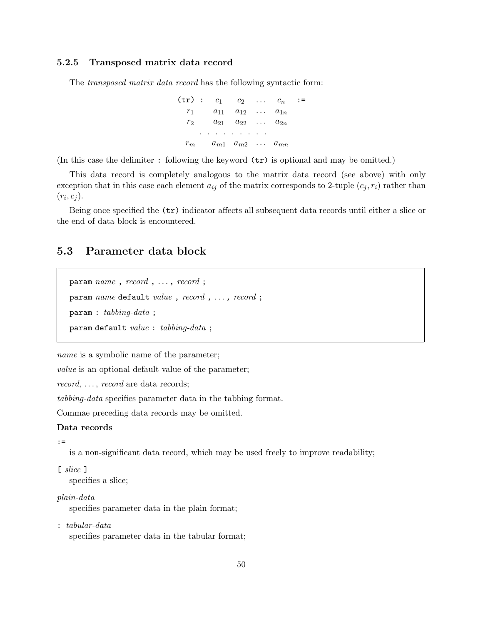## **5.2.5 Transposed matrix data record**

The *transposed matrix data record* has the following syntactic form:

 $(\text{tr}): c_1 \quad c_2 \quad \dots \quad c_n \quad :=$  $r_1$  *a*<sub>11</sub> *a*<sub>12</sub> *... a*<sub>1*n*</sub> *r*<sup>2</sup> *a*<sup>21</sup> *a*<sup>22</sup> *. . . a*2*<sup>n</sup> . . . . . . . . .*  $r_m$  *a*<sub>m1</sub>  $a_{m2}$  *...*  $a_{mn}$ 

(In this case the delimiter : following the keyword (tr) is optional and may be omitted.)

This data record is completely analogous to the matrix data record (see above) with only exception that in this case each element  $a_{ij}$  of the matrix corresponds to 2-tuple  $(c_j, r_i)$  rather than  $(r_i, c_j)$ .

Being once specified the (tr) indicator affects all subsequent data records until either a slice or the end of data block is encountered.

# **5.3 Parameter data block**

```
param name , record , . . . , record ;
param name default value , record , . . . , record ;
param : tabbing-data ;
param default value : tabbing-data ;
```
*name* is a symbolic name of the parameter;

*value* is an optional default value of the parameter;

*record*, ..., *record* are data records;

*tabbing-data* specifies parameter data in the tabbing format.

Commae preceding data records may be omitted.

#### **Data records**

:=

is a non-significant data record, which may be used freely to improve readability;

### [ *slice* ]

specifies a slice;

## *plain-data*

specifies parameter data in the plain format;

: *tabular-data* specifies parameter data in the tabular format;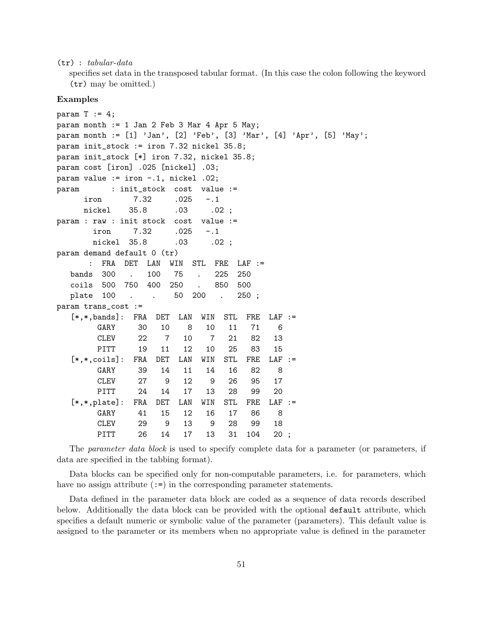#### (tr) : *tabular-data*

specifies set data in the transposed tabular format. (In this case the colon following the keyword (tr) may be omitted.)

#### **Examples**

```
param T := 4;
param month := 1 Jan 2 Feb 3 Mar 4 Apr 5 May;
param month := [1] 'Jan', [2] 'Feb', [3] 'Mar', [4] 'Apr', [5] 'May';
param init_stock := iron 7.32 nickel 35.8;
param init_stock [*] iron 7.32, nickel 35.8;
param cost [iron] .025 [nickel] .03;
param value := iron -.1, nickel .02;
param : init_stock cost value :=
    iron 7.32 .025 -.1
    nickel 35.8 .03 .02;
param : raw : init stock cost value :=
      iron 7.32 .025 -.1
      nickel 35.8 .03 .02;
param demand default 0 (tr)
     : FRA DET LAN WIN STL FRE LAF :=
  bands 300 . 100 75 . 225 250
  coils 500 750 400 250 . 850 500
  plate 100 . . 50 200 . 250;
param trans_cost :=
  [*,*,bands]: FRA DET LAN WIN STL FRE LAF :=
       GARY 30 10 8 10 11 71 6
       CLEV 22 7 10 7 21 82 13
       PITT 19 11 12 10 25 83 15
  [*,*,coils]: FRA DET LAN WIN STL FRE LAF :=
       GARY 39 14 11 14 16 82 8
       CLEV 27 9 12 9 26 95 17
       PITT 24 14 17 13 28 99 20
  [*,*,plate]: FRA DET LAN WIN STL FRE LAF :=
       GARY 41 15 12 16 17 86 8
       CLEV 29 9 13 9 28 99 18
       PITT 26 14 17 13 31 104 20 ;
```
The *parameter data block* is used to specify complete data for a parameter (or parameters, if data are specified in the tabbing format).

Data blocks can be specified only for non-computable parameters, i.e. for parameters, which have no assign attribute  $(:=)$  in the corresponding parameter statements.

Data defined in the parameter data block are coded as a sequence of data records described below. Additionally the data block can be provided with the optional default attribute, which specifies a default numeric or symbolic value of the parameter (parameters). This default value is assigned to the parameter or its members when no appropriate value is defined in the parameter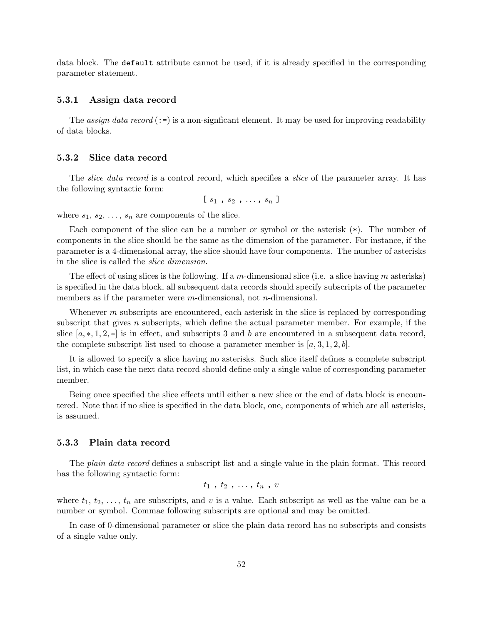data block. The default attribute cannot be used, if it is already specified in the corresponding parameter statement.

### **5.3.1 Assign data record**

The *assign data record*  $(:=)$  is a non-signficant element. It may be used for improving readability of data blocks.

#### **5.3.2 Slice data record**

The *slice data record* is a control record, which specifies a *slice* of the parameter array. It has the following syntactic form:

 $[s_1, s_2, \ldots, s_n]$ 

where  $s_1, s_2, \ldots, s_n$  are components of the slice.

Each component of the slice can be a number or symbol or the asterisk (\*). The number of components in the slice should be the same as the dimension of the parameter. For instance, if the parameter is a 4-dimensional array, the slice should have four components. The number of asterisks in the slice is called the *slice dimension*.

The effect of using slices is the following. If a *m*-dimensional slice (i.e. a slice having *m* asterisks) is specified in the data block, all subsequent data records should specify subscripts of the parameter members as if the parameter were *m*-dimensional, not *n*-dimensional.

Whenever *m* subscripts are encountered, each asterisk in the slice is replaced by corresponding subscript that gives *n* subscripts, which define the actual parameter member. For example, if the slice  $[a,*,1,2,*]$  is in effect, and subscripts 3 and b are encountered in a subsequent data record, the complete subscript list used to choose a parameter member is  $[a, 3, 1, 2, b]$ .

It is allowed to specify a slice having no asterisks. Such slice itself defines a complete subscript list, in which case the next data record should define only a single value of corresponding parameter member.

Being once specified the slice effects until either a new slice or the end of data block is encountered. Note that if no slice is specified in the data block, one, components of which are all asterisks, is assumed.

### **5.3.3 Plain data record**

The *plain data record* defines a subscript list and a single value in the plain format. This record has the following syntactic form:

$$
t_1, t_2, \ldots, t_n, v
$$

where  $t_1, t_2, \ldots, t_n$  are subscripts, and v is a value. Each subscript as well as the value can be a number or symbol. Commae following subscripts are optional and may be omitted.

In case of 0-dimensional parameter or slice the plain data record has no subscripts and consists of a single value only.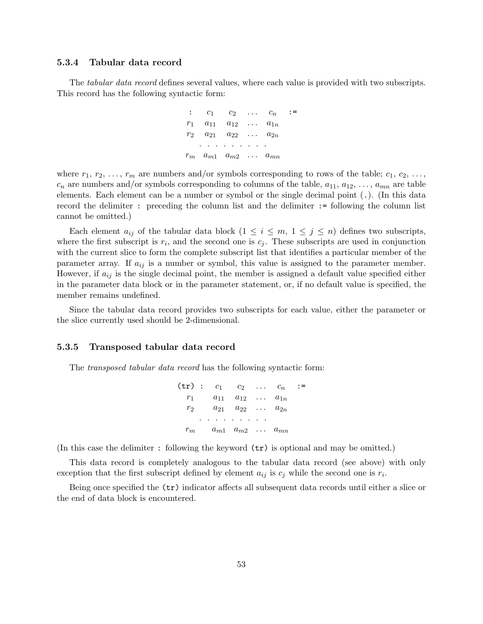### **5.3.4 Tabular data record**

The *tabular data record* defines several values, where each value is provided with two subscripts. This record has the following syntactic form:

$$
\begin{array}{ccccccccc}\n\vdots & c_1 & c_2 & \dots & c_n & \cdots \\
r_1 & a_{11} & a_{12} & \dots & a_{1n} \\
r_2 & a_{21} & a_{22} & \dots & a_{2n} \\
\vdots & \vdots & \vdots & \vdots & \vdots \\
r_m & a_{m1} & a_{m2} & \dots & a_{mn}\n\end{array}
$$

where  $r_1, r_2, \ldots, r_m$  are numbers and/or symbols corresponding to rows of the table;  $c_1, c_2, \ldots$ ,  $c_n$  are numbers and/or symbols corresponding to columns of the table,  $a_{11}, a_{12}, \ldots, a_{mn}$  are table elements. Each element can be a number or symbol or the single decimal point (.). (In this data record the delimiter : preceding the column list and the delimiter := following the column list cannot be omitted.)

Each element  $a_{ij}$  of the tabular data block  $(1 \leq i \leq m, 1 \leq j \leq n)$  defines two subscripts, where the first subscript is  $r_i$ , and the second one is  $c_j$ . These subscripts are used in conjunction with the current slice to form the complete subscript list that identifies a particular member of the parameter array. If  $a_{ij}$  is a number or symbol, this value is assigned to the parameter member. However, if  $a_{ij}$  is the single decimal point, the member is assigned a default value specified either in the parameter data block or in the parameter statement, or, if no default value is specified, the member remains undefined.

Since the tabular data record provides two subscripts for each value, either the parameter or the slice currently used should be 2-dimensional.

### **5.3.5 Transposed tabular data record**

The *transposed tabular data record* has the following syntactic form:

$$
\begin{array}{ccccccccc}\n\text{(tr)} & \text{:} & c_1 & c_2 & \dots & c_n & \text{:} = \\
r_1 & a_{11} & a_{12} & \dots & a_{1n} & \\
r_2 & a_{21} & a_{22} & \dots & a_{2n} & \\
 & \dots & \dots & \dots & \dots & \\
r_m & a_{m1} & a_{m2} & \dots & a_{mn}\n\end{array}
$$

(In this case the delimiter : following the keyword  $(\text{tr})$  is optional and may be omitted.)

This data record is completely analogous to the tabular data record (see above) with only exception that the first subscript defined by element  $a_{ij}$  is  $c_j$  while the second one is  $r_i$ .

Being once specified the (tr) indicator affects all subsequent data records until either a slice or the end of data block is encountered.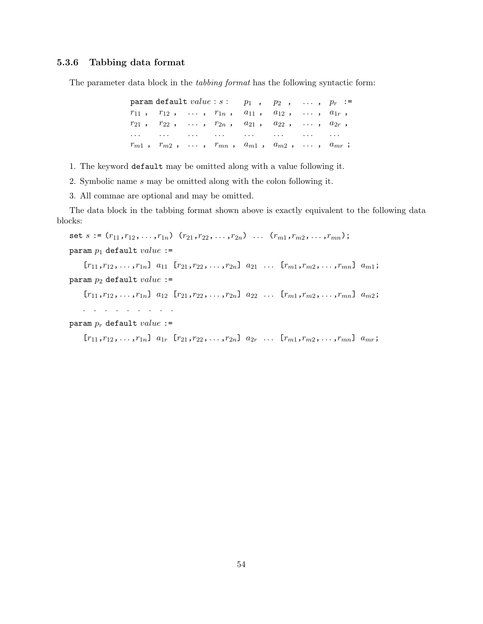## **5.3.6 Tabbing data format**

The parameter data block in the *tabbing format* has the following syntactic form:

param default  $value: s: p_1, p_2, \ldots, p_r :=$  $r_{11}$ ,  $r_{12}$ ,  $\ldots$ ,  $r_{1n}$ ,  $a_{11}$ ,  $a_{12}$ ,  $\ldots$ ,  $a_{1r}$ ,  $r_{21}$ ,  $r_{22}$ ,  $\ldots$ ,  $r_{2n}$ ,  $a_{21}$ ,  $a_{22}$ ,  $\ldots$ ,  $a_{2r}$ , *. . . . . . . . . . . . . . . . . . . . . . . . rm*<sup>1</sup> , *rm*<sup>2</sup> , *. . .* , *rmn* , *am*<sup>1</sup> , *am*<sup>2</sup> , *. . .* , *amr* ;

1. The keyword default may be omitted along with a value following it.

- 2. Symbolic name *s* may be omitted along with the colon following it.
- 3. All commae are optional and may be omitted.

The data block in the tabbing format shown above is exactly equivalent to the following data blocks:

```
set s := (r_{11}, r_{12}, \ldots, r_{1n}) (r_{21}, r_{22}, \ldots, r_{2n}) \ldots (r_{m1}, r_{m2}, \ldots, r_{mn});param p1 default value :=
```
 $[r_{11}, r_{12}, \ldots, r_{1n}]$   $a_{11}$   $[r_{21}, r_{22}, \ldots, r_{2n}]$   $a_{21}$   $\ldots$   $[r_{m1}, r_{m2}, \ldots, r_{mn}]$   $a_{m1}$ ; param *p*<sup>2</sup> default *value* :=

 $[r_{11}, r_{12}, \ldots, r_{1n}]$   $a_{12}$   $[r_{21}, r_{22}, \ldots, r_{2n}]$   $a_{22}$   $\ldots$   $[r_{m1}, r_{m2}, \ldots, r_{mn}]$   $a_{m2}$ ;

. . . . . . . . .

```
param pr default value :=
```
 $[r_{11}, r_{12}, \ldots, r_{1n}]$   $a_{1r}$   $[r_{21}, r_{22}, \ldots, r_{2n}]$   $a_{2r}$   $\ldots$   $[r_{m1}, r_{m2}, \ldots, r_{mn}]$   $a_{mr}$ ;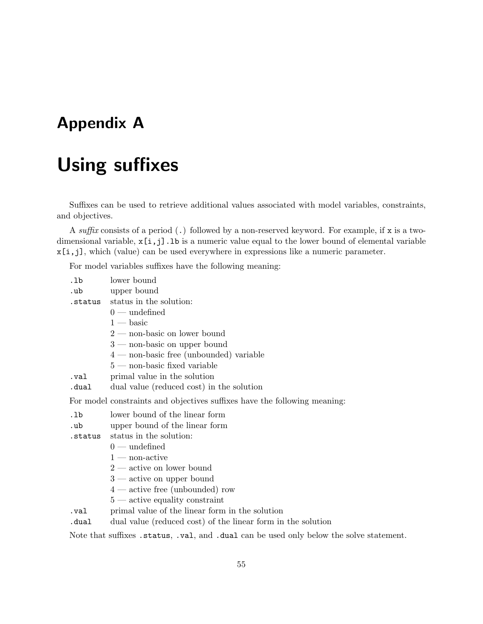# **Appendix A**

# **Using suffixes**

Suffixes can be used to retrieve additional values associated with model variables, constraints, and objectives.

A *suffix* consists of a period (.) followed by a non-reserved keyword. For example, if x is a twodimensional variable,  $x[i,j]$ . Ib is a numeric value equal to the lower bound of elemental variable x[i,j], which (value) can be used everywhere in expressions like a numeric parameter.

For model variables suffixes have the following meaning:

| .1 <sub>b</sub> | lower bound                                                               |
|-----------------|---------------------------------------------------------------------------|
| .ub             | upper bound                                                               |
|                 | .status status in the solution:                                           |
|                 | $0$ — undefined                                                           |
|                 | $1 - \text{basic}$                                                        |
|                 | $2$ — non-basic on lower bound                                            |
|                 | $3$ — non-basic on upper bound                                            |
|                 | $4$ — non-basic free (unbounded) variable                                 |
|                 | $5$ — non-basic fixed variable                                            |
| .val            | primal value in the solution                                              |
| .dual           | dual value (reduced cost) in the solution                                 |
|                 | For model constraints and objectives suffixes have the following meaning: |
| .1 <sub>b</sub> | lower bound of the linear form                                            |
| .ub             | upper bound of the linear form                                            |
| .status         | status in the solution:                                                   |
|                 | $0$ — undefined                                                           |
|                 | $1$ — non-active                                                          |
|                 | $2$ — active on lower bound                                               |
|                 | $3$ — active on upper bound                                               |
|                 | $4$ — active free (unbounded) row                                         |
|                 | $5$ — active equality constraint                                          |
|                 |                                                                           |

- .val primal value of the linear form in the solution
- .dual dual value (reduced cost) of the linear form in the solution

Note that suffixes .status, .val, and .dual can be used only below the solve statement.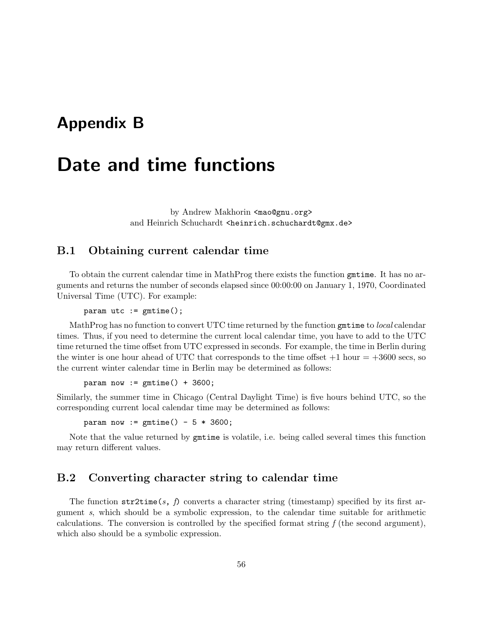# **Appendix B**

# **Date and time functions**

by Andrew Makhorin <mao@gnu.org> and Heinrich Schuchardt <heinrich.schuchardt@gmx.de>

## <span id="page-55-0"></span>**B.1 Obtaining current calendar time**

To obtain the current calendar time in MathProg there exists the function gmtime. It has no arguments and returns the number of seconds elapsed since 00:00:00 on January 1, 1970, Coordinated Universal Time (UTC). For example:

```
param utc := gmtime();
```
MathProg has no function to convert UTC time returned by the function gmtime to *local* calendar times. Thus, if you need to determine the current local calendar time, you have to add to the UTC time returned the time offset from UTC expressed in seconds. For example, the time in Berlin during the winter is one hour ahead of UTC that corresponds to the time offset  $+1$  hour  $= +3600$  secs, so the current winter calendar time in Berlin may be determined as follows:

param now  $:=$  gmtime() + 3600;

Similarly, the summer time in Chicago (Central Daylight Time) is five hours behind UTC, so the corresponding current local calendar time may be determined as follows:

param now :=  $gmtime() - 5 * 3600$ ;

Note that the value returned by gmtime is volatile, i.e. being called several times this function may return different values.

## **B.2 Converting character string to calendar time**

The function  $\text{str2time}(s, f)$  converts a character string (timestamp) specified by its first argument *s*, which should be a symbolic expression, to the calendar time suitable for arithmetic calculations. The conversion is controlled by the specified format string *f* (the second argument), which also should be a symbolic expression.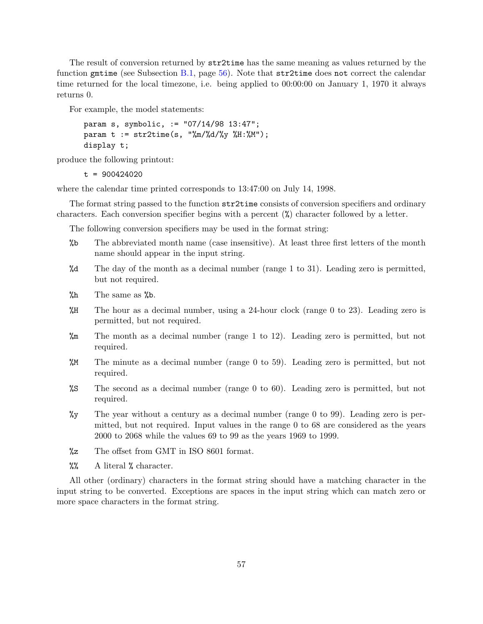The result of conversion returned by str2time has the same meaning as values returned by the function gmtime (see Subsection [B.1](#page-55-0), page [56](#page-55-0)). Note that str2time does not correct the calendar time returned for the local timezone, i.e. being applied to 00:00:00 on January 1, 1970 it always returns 0.

For example, the model statements:

```
param s, symbolic, := "07/14/98 13:47";
param t := str2time(s, "\\m}/%d/\%y %H:\%M");
display t;
```
produce the following printout:

```
t = 900424020
```
where the calendar time printed corresponds to 13:47:00 on July 14, 1998.

The format string passed to the function  $\text{str2time}$  consists of conversion specifiers and ordinary characters. Each conversion specifier begins with a percent (%) character followed by a letter.

The following conversion specifiers may be used in the format string:

- %b The abbreviated month name (case insensitive). At least three first letters of the month name should appear in the input string.
- %d The day of the month as a decimal number (range 1 to 31). Leading zero is permitted, but not required.
- $%h$  The same as  $%b$ .
- %H The hour as a decimal number, using a 24-hour clock (range 0 to 23). Leading zero is permitted, but not required.
- %m The month as a decimal number (range 1 to 12). Leading zero is permitted, but not required.
- %M The minute as a decimal number (range 0 to 59). Leading zero is permitted, but not required.
- %S The second as a decimal number (range 0 to 60). Leading zero is permitted, but not required.
- %y The year without a century as a decimal number (range 0 to 99). Leading zero is permitted, but not required. Input values in the range 0 to 68 are considered as the years 2000 to 2068 while the values 69 to 99 as the years 1969 to 1999.
- %z The offset from GMT in ISO 8601 format.
- %% A literal % character.

All other (ordinary) characters in the format string should have a matching character in the input string to be converted. Exceptions are spaces in the input string which can match zero or more space characters in the format string.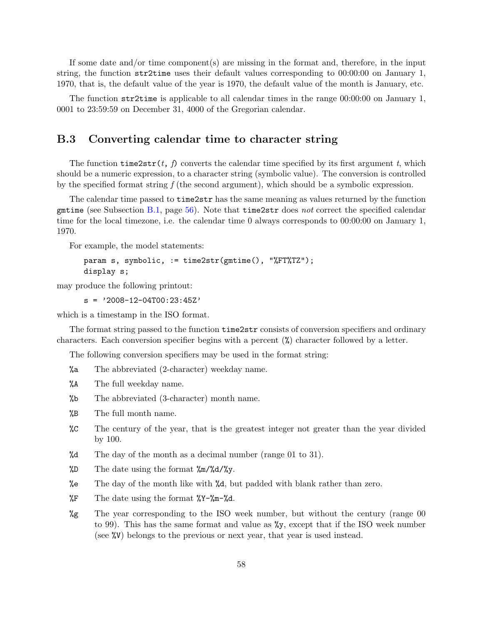If some date and/or time component(s) are missing in the format and, therefore, in the input string, the function str2time uses their default values corresponding to 00:00:00 on January 1, 1970, that is, the default value of the year is 1970, the default value of the month is January, etc.

The function str2time is applicable to all calendar times in the range 00:00:00 on January 1, 0001 to 23:59:59 on December 31, 4000 of the Gregorian calendar.

## **B.3 Converting calendar time to character string**

The function  $\tt time2str(t, f)$  converts the calendar time specified by its first argument t, which should be a numeric expression, to a character string (symbolic value). The conversion is controlled by the specified format string *f* (the second argument), which should be a symbolic expression.

The calendar time passed to time2str has the same meaning as values returned by the function gmtime (see Subsection [B.1,](#page-55-0) page [56\)](#page-55-0). Note that time2str does *not* correct the specified calendar time for the local timezone, i.e. the calendar time 0 always corresponds to 00:00:00 on January 1, 1970.

For example, the model statements:

```
param s, symbolic, := time2str(gmtime(), "%FT%TZ");
display s;
```
may produce the following printout:

```
s = '2008-12-04T00:23:45Z'
```
which is a timestamp in the ISO format.

The format string passed to the function  $\tt time2str$  consists of conversion specifiers and ordinary characters. Each conversion specifier begins with a percent (%) character followed by a letter.

The following conversion specifiers may be used in the format string:

- %a The abbreviated (2-character) weekday name.
- %A The full weekday name.
- %b The abbreviated (3-character) month name.
- %B The full month name.
- %C The century of the year, that is the greatest integer not greater than the year divided by 100.
- %d The day of the month as a decimal number (range 01 to 31).
- $\text{\%D}$  The date using the format  $\text{\%m}/\text{\%d}/\text{\%y}$ .
- %e The day of the month like with %d, but padded with blank rather than zero.
- $\sqrt{$F$}$  The date using the format  $\sqrt{$Y-\frac{2}{m}$}$ ,  $\sqrt{$A$}$ .
- %g The year corresponding to the ISO week number, but without the century (range 00 to 99). This has the same format and value as %y, except that if the ISO week number (see %V) belongs to the previous or next year, that year is used instead.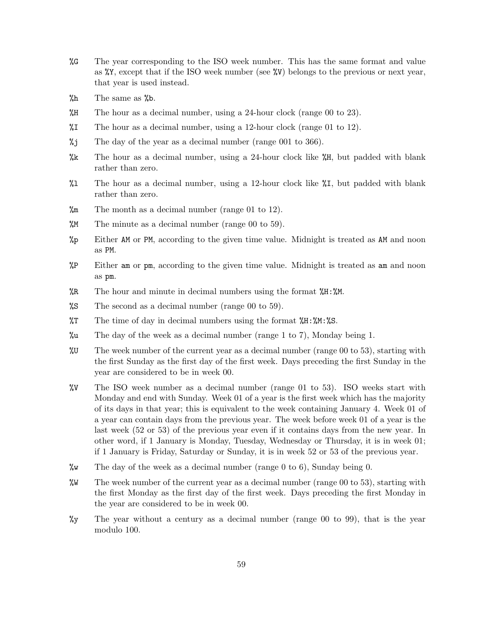- %G The year corresponding to the ISO week number. This has the same format and value as %Y, except that if the ISO week number (see %V) belongs to the previous or next year, that year is used instead.
- $\%h$  The same as  $\%b$ .
- %H The hour as a decimal number, using a 24-hour clock (range 00 to 23).
- $\text{\%I}$  The hour as a decimal number, using a 12-hour clock (range 01 to 12).
- %j The day of the year as a decimal number (range 001 to 366).
- $\frac{1}{18}$  The hour as a decimal number, using a 24-hour clock like  $\frac{1}{18}$ , but padded with blank rather than zero.
- $\Lambda$  The hour as a decimal number, using a 12-hour clock like  $\Lambda$ I, but padded with blank rather than zero.
- %m The month as a decimal number (range 01 to 12).
- %M The minute as a decimal number (range 00 to 59).
- %p Either AM or PM, according to the given time value. Midnight is treated as AM and noon as PM.
- %P Either am or pm, according to the given time value. Midnight is treated as am and noon as pm.
- $\%R$  The hour and minute in decimal numbers using the format  $\%H:\%M$ .
- %S The second as a decimal number (range 00 to 59).
- $\pi$  The time of day in decimal numbers using the format  $\pi$ :  $\pi$ :  $\pi$ :  $\pi$ :  $\pi$ :
- %u The day of the week as a decimal number (range 1 to 7), Monday being 1.
- %U The week number of the current year as a decimal number (range 00 to 53), starting with the first Sunday as the first day of the first week. Days preceding the first Sunday in the year are considered to be in week 00.
- %V The ISO week number as a decimal number (range 01 to 53). ISO weeks start with Monday and end with Sunday. Week 01 of a year is the first week which has the majority of its days in that year; this is equivalent to the week containing January 4. Week 01 of a year can contain days from the previous year. The week before week 01 of a year is the last week (52 or 53) of the previous year even if it contains days from the new year. In other word, if 1 January is Monday, Tuesday, Wednesday or Thursday, it is in week 01; if 1 January is Friday, Saturday or Sunday, it is in week 52 or 53 of the previous year.
- $\%$  The day of the week as a decimal number (range 0 to 6), Sunday being 0.
- %W The week number of the current year as a decimal number (range 00 to 53), starting with the first Monday as the first day of the first week. Days preceding the first Monday in the year are considered to be in week 00.
- %y The year without a century as a decimal number (range 00 to 99), that is the year modulo 100.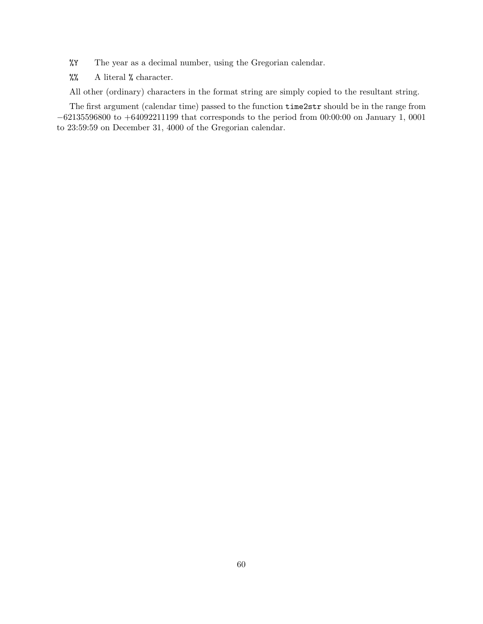- %Y The year as a decimal number, using the Gregorian calendar.
- %% A literal % character.

All other (ordinary) characters in the format string are simply copied to the resultant string.

The first argument (calendar time) passed to the function time2str should be in the range from *−*62135596800 to +64092211199 that corresponds to the period from 00:00:00 on January 1, 0001 to 23:59:59 on December 31, 4000 of the Gregorian calendar.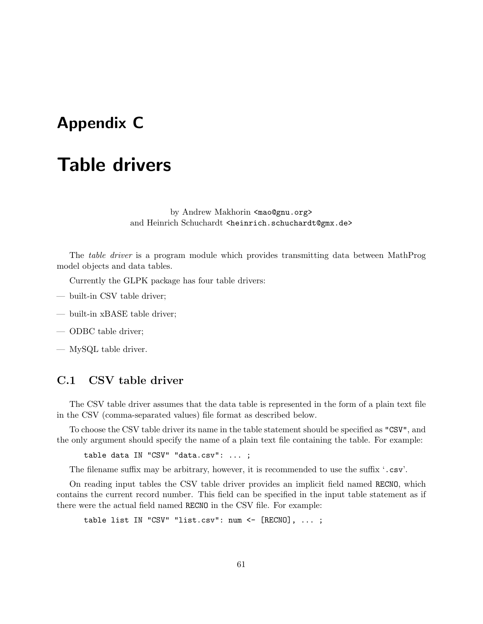# <span id="page-60-0"></span>**Appendix C**

# **Table drivers**

by Andrew Makhorin <mao@gnu.org> and Heinrich Schuchardt <heinrich.schuchardt@gmx.de>

The *table driver* is a program module which provides transmitting data between MathProg model objects and data tables.

Currently the GLPK package has four table drivers:

- built-in CSV table driver;
- built-in xBASE table driver;
- ODBC table driver;

— MySQL table driver.

## **C.1 CSV table driver**

The CSV table driver assumes that the data table is represented in the form of a plain text file in the CSV (comma-separated values) file format as described below.

To choose the CSV table driver its name in the table statement should be specified as "CSV", and the only argument should specify the name of a plain text file containing the table. For example:

table data IN "CSV" "data.csv": ... ;

The filename suffix may be arbitrary, however, it is recommended to use the suffix '.csv'.

On reading input tables the CSV table driver provides an implicit field named RECNO, which contains the current record number. This field can be specified in the input table statement as if there were the actual field named RECNO in the CSV file. For example:

table list IN "CSV" "list.csv": num <- [RECNO], ...;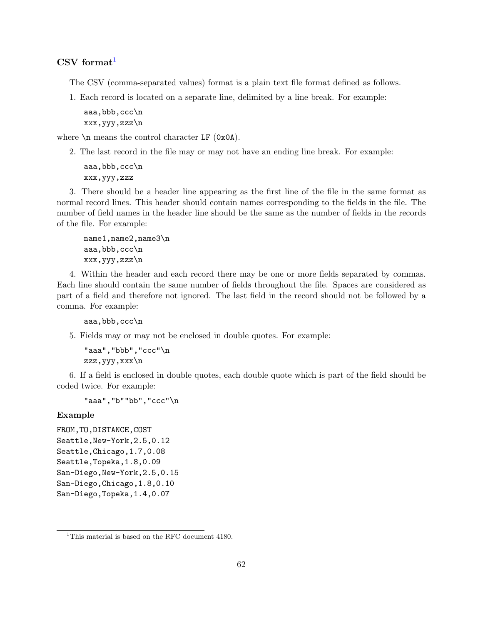## **CSV format**[1](#page-61-0)

The CSV (comma-separated values) format is a plain text file format defined as follows.

1. Each record is located on a separate line, delimited by a line break. For example:

```
aaa,bbb,ccc\n
xxx,yyy,zzz\n
```
where  $\n\rangle$ n means the control character LF (0x0A).

2. The last record in the file may or may not have an ending line break. For example:

```
aaa,bbb,ccc\n
xxx,yyy,zzz
```
3. There should be a header line appearing as the first line of the file in the same format as normal record lines. This header should contain names corresponding to the fields in the file. The number of field names in the header line should be the same as the number of fields in the records of the file. For example:

```
name1,name2,name3\n
aaa,bbb,ccc\n
xxx,yyy,zzz\n
```
4. Within the header and each record there may be one or more fields separated by commas. Each line should contain the same number of fields throughout the file. Spaces are considered as part of a field and therefore not ignored. The last field in the record should not be followed by a comma. For example:

```
aaa,bbb,ccc\n
```
5. Fields may or may not be enclosed in double quotes. For example:

```
"aaa","bbb","ccc"\n
zzz,yyy,xxx\n
```
6. If a field is enclosed in double quotes, each double quote which is part of the field should be coded twice. For example:

```
"aaa","b""bb","ccc"\n
```
## **Example**

```
FROM,TO,DISTANCE,COST
Seattle,New-York,2.5,0.12
Seattle,Chicago,1.7,0.08
Seattle,Topeka,1.8,0.09
San-Diego,New-York,2.5,0.15
San-Diego,Chicago,1.8,0.10
San-Diego,Topeka,1.4,0.07
```
<span id="page-61-0"></span><sup>&</sup>lt;sup>1</sup>This material is based on the RFC document 4180.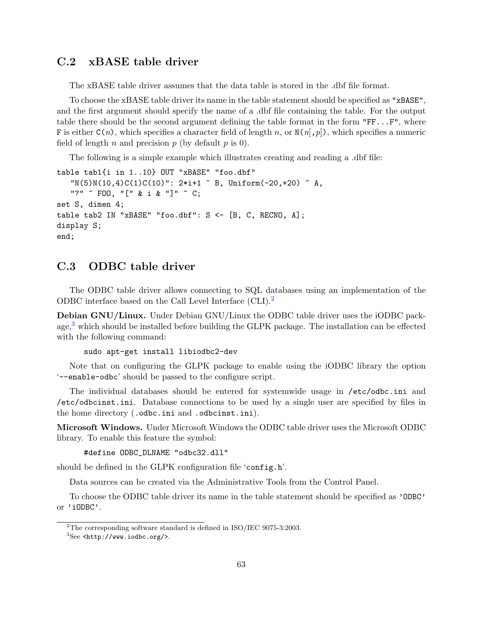# **C.2 xBASE table driver**

The xBASE table driver assumes that the data table is stored in the .dbf file format.

To choose the xBASE table driver its name in the table statement should be specified as "xBASE", and the first argument should specify the name of a .dbf file containing the table. For the output table there should be the second argument defining the table format in the form  $"FF...F",$  where F is either C(*n*), which specifies a character field of length *n*, or N(*n*[,*p*]), which specifies a numeric field of length *n* and precision *p* (by default *p* is 0).

The following is a simple example which illustrates creating and reading a .dbf file:

```
table tab1{i in 1..10} OUT "xBASE" "foo.dbf"
   ''N(5)N(10,4)C(1)C(10)": 2*i+1 ~ B, Uniform(-20,+20) ~ A,
   "?" ~ FOO, "[" & i & "]" ~ C;
set S, dimen 4;
table tab2 IN "xBASE" "foo.dbf": S <- [B, C, RECNO, A];
display S;
end;
```
# **C.3 ODBC table driver**

The ODBC table driver allows connecting to SQL databases using an implementation of the ODBC interface based on the Call Level Interface (CLI).[2](#page-62-0)

**Debian GNU/Linux.** Under Debian GNU/Linux the ODBC table driver uses the iODBC pack-age,<sup>[3](#page-62-1)</sup> which should be installed before building the GLPK package. The installation can be effected with the following command:

```
sudo apt-get install libiodbc2-dev
```
Note that on configuring the GLPK package to enable using the iODBC library the option '--enable-odbc' should be passed to the configure script.

The individual databases should be entered for systemwide usage in /etc/odbc.ini and /etc/odbcinst.ini. Database connections to be used by a single user are specified by files in the home directory (.odbc.ini and .odbcinst.ini).

**Microsoft Windows.** Under Microsoft Windows the ODBC table driver uses the Microsoft ODBC library. To enable this feature the symbol:

#define ODBC\_DLNAME "odbc32.dll"

should be defined in the GLPK configuration file 'config.h'.

Data sources can be created via the Administrative Tools from the Control Panel.

To choose the ODBC table driver its name in the table statement should be specified as 'ODBC' or 'iODBC'.

<span id="page-62-0"></span><sup>2</sup>The corresponding software standard is defined in ISO/IEC 9075-3:2003.

<span id="page-62-1"></span> ${}^{3}$ See <http://www.iodbc.org/>.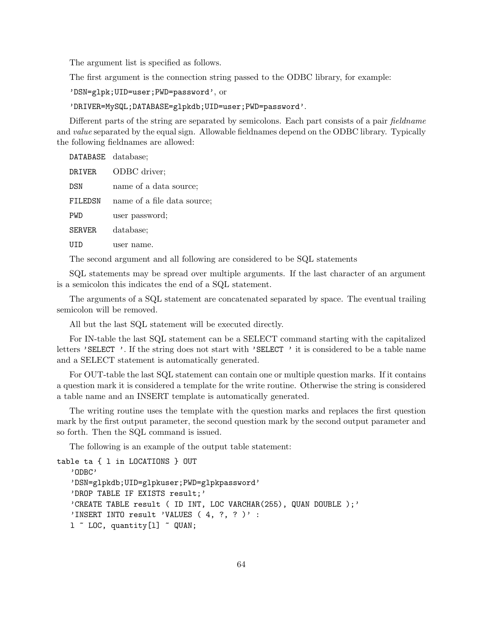The argument list is specified as follows.

The first argument is the connection string passed to the ODBC library, for example:

'DSN=glpk;UID=user;PWD=password', or

'DRIVER=MySQL;DATABASE=glpkdb;UID=user;PWD=password'.

Different parts of the string are separated by semicolons. Each part consists of a pair *fieldname* and *value* separated by the equal sign. Allowable fieldnames depend on the ODBC library. Typically the following fieldnames are allowed:

| DATABASE database; |                             |
|--------------------|-----------------------------|
| DRIVER             | ODBC driver;                |
| DSN                | name of a data source;      |
| FILEDSN            | name of a file data source; |
| PWD                | user password;              |
| <b>SERVER</b>      | database;                   |
|                    | user name.                  |

The second argument and all following are considered to be SQL statements

SQL statements may be spread over multiple arguments. If the last character of an argument is a semicolon this indicates the end of a SQL statement.

The arguments of a SQL statement are concatenated separated by space. The eventual trailing semicolon will be removed.

All but the last SQL statement will be executed directly.

For IN-table the last SQL statement can be a SELECT command starting with the capitalized letters 'SELECT '. If the string does not start with 'SELECT ' it is considered to be a table name and a SELECT statement is automatically generated.

For OUT-table the last SQL statement can contain one or multiple question marks. If it contains a question mark it is considered a template for the write routine. Otherwise the string is considered a table name and an INSERT template is automatically generated.

The writing routine uses the template with the question marks and replaces the first question mark by the first output parameter, the second question mark by the second output parameter and so forth. Then the SQL command is issued.

The following is an example of the output table statement:

```
table ta { l in LOCATIONS } OUT
   'ODBC'
   'DSN=glpkdb;UID=glpkuser;PWD=glpkpassword'
   'DROP TABLE IF EXISTS result;'
   'CREATE TABLE result ( ID INT, LOC VARCHAR(255), QUAN DOUBLE );'
   'INSERT INTO result 'VALUES ( 4, ?, ? )' :
  1 ~ LOC, quantity [1] ~ QUAN;
```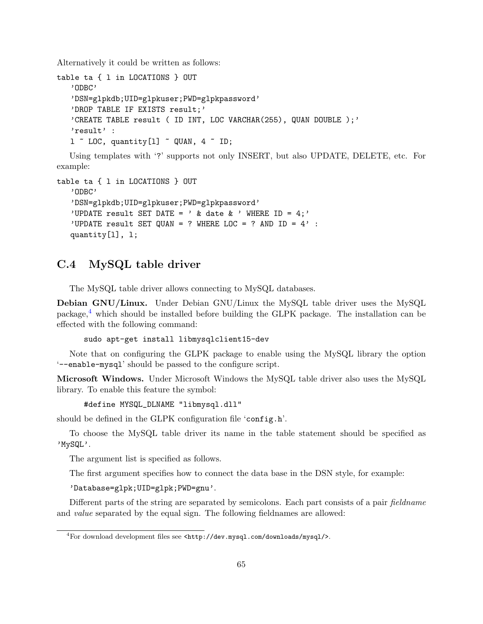Alternatively it could be written as follows:

```
table ta { l in LOCATIONS } OUT
   'ODBC'
   'DSN=glpkdb;UID=glpkuser;PWD=glpkpassword'
   'DROP TABLE IF EXISTS result;'
   'CREATE TABLE result ( ID INT, LOC VARCHAR(255), QUAN DOUBLE );'
   'result' :
   1 \sim LOC, quantity [1] \sim QUAN, 4 \sim ID;
```
Using templates with '?' supports not only INSERT, but also UPDATE, DELETE, etc. For example:

```
table ta { l in LOCATIONS } OUT
   'ODBC'
   'DSN=glpkdb;UID=glpkuser;PWD=glpkpassword'
   'UPDATE result SET DATE = ' & date & ' WHERE ID = 4;'
   'UPDATE result SET QUAN = ? WHERE LOC = ? AND ID = 4' :
   quantity[l], l;
```
# **C.4 MySQL table driver**

The MySQL table driver allows connecting to MySQL databases.

**Debian GNU/Linux.** Under Debian GNU/Linux the MySQL table driver uses the MySQL package, $4$  which should be installed before building the GLPK package. The installation can be effected with the following command:

sudo apt-get install libmysqlclient15-dev

Note that on configuring the GLPK package to enable using the MySQL library the option '--enable-mysql' should be passed to the configure script.

**Microsoft Windows.** Under Microsoft Windows the MySQL table driver also uses the MySQL library. To enable this feature the symbol:

#define MYSQL\_DLNAME "libmysql.dll"

should be defined in the GLPK configuration file 'config.h'.

To choose the MySQL table driver its name in the table statement should be specified as 'MySQL'.

The argument list is specified as follows.

The first argument specifies how to connect the data base in the DSN style, for example:

'Database=glpk;UID=glpk;PWD=gnu'.

Different parts of the string are separated by semicolons. Each part consists of a pair *fieldname* and *value* separated by the equal sign. The following fieldnames are allowed:

<span id="page-64-0"></span> $4$ For download development files see <http://dev.mysql.com/downloads/mysql/>.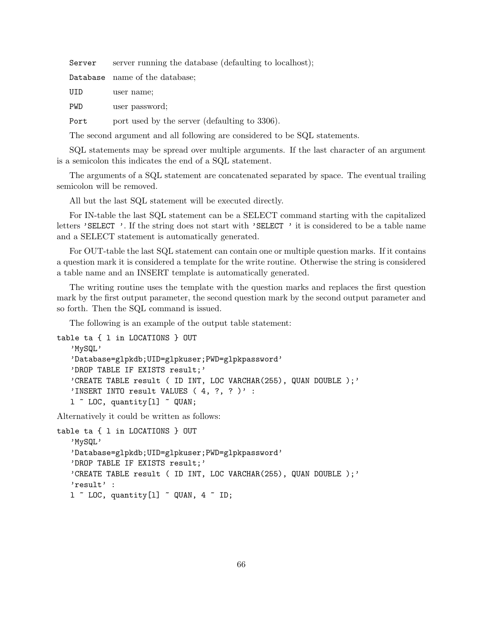Server server running the database (defaulting to localhost);

Database name of the database;

UID user name;

PWD user password;

Port port used by the server (defaulting to 3306).

The second argument and all following are considered to be SQL statements.

SQL statements may be spread over multiple arguments. If the last character of an argument is a semicolon this indicates the end of a SQL statement.

The arguments of a SQL statement are concatenated separated by space. The eventual trailing semicolon will be removed.

All but the last SQL statement will be executed directly.

For IN-table the last SQL statement can be a SELECT command starting with the capitalized letters 'SELECT '. If the string does not start with 'SELECT ' it is considered to be a table name and a SELECT statement is automatically generated.

For OUT-table the last SQL statement can contain one or multiple question marks. If it contains a question mark it is considered a template for the write routine. Otherwise the string is considered a table name and an INSERT template is automatically generated.

The writing routine uses the template with the question marks and replaces the first question mark by the first output parameter, the second question mark by the second output parameter and so forth. Then the SQL command is issued.

The following is an example of the output table statement:

```
table ta { l in LOCATIONS } OUT
   'MySQL'
   'Database=glpkdb;UID=glpkuser;PWD=glpkpassword'
   'DROP TABLE IF EXISTS result;'
   'CREATE TABLE result ( ID INT, LOC VARCHAR(255), QUAN DOUBLE );'
   'INSERT INTO result VALUES (4, ?, ? )' :
  1 ~ LOC, quantity [1] ~ QUAN;
```
Alternatively it could be written as follows:

```
table ta { l in LOCATIONS } OUT
   'MySQL'
   'Database=glpkdb;UID=glpkuser;PWD=glpkpassword'
   'DROP TABLE IF EXISTS result;'
   'CREATE TABLE result ( ID INT, LOC VARCHAR(255), QUAN DOUBLE );'
   'result' :
   1 \sim LOC, quantity [1] \sim QUAN, 4 \sim ID;
```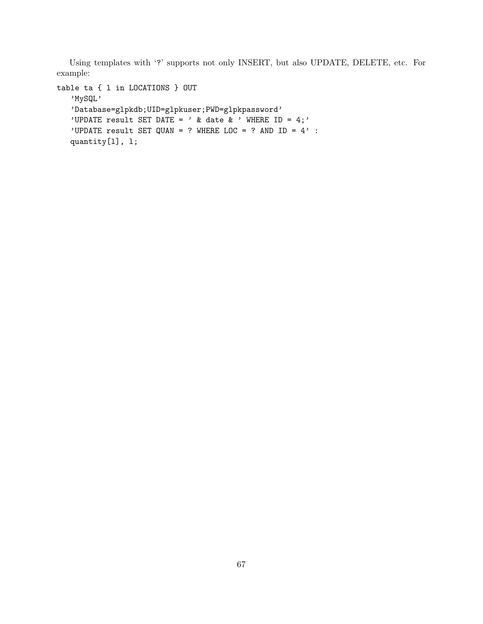Using templates with '?' supports not only INSERT, but also UPDATE, DELETE, etc. For example:

```
table ta { l in LOCATIONS } OUT
   'MySQL'
   'Database=glpkdb;UID=glpkuser;PWD=glpkpassword'
   'UPDATE result SET DATE = ' & date & ' WHERE ID = 4;'
   'UPDATE result SET QUAN = ? WHERE LOC = ? AND ID = 4' :
   quantity[l], l;
```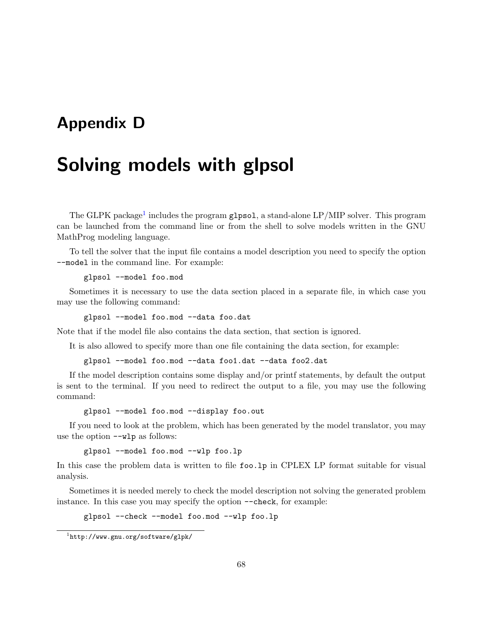# **Appendix D**

# **Solving models with glpsol**

The GLPK package<sup>[1](#page-67-0)</sup> includes the program g1pso1, a stand-alone LP/MIP solver. This program can be launched from the command line or from the shell to solve models written in the GNU MathProg modeling language.

To tell the solver that the input file contains a model description you need to specify the option --model in the command line. For example:

```
glpsol --model foo.mod
```
Sometimes it is necessary to use the data section placed in a separate file, in which case you may use the following command:

glpsol --model foo.mod --data foo.dat

Note that if the model file also contains the data section, that section is ignored.

It is also allowed to specify more than one file containing the data section, for example:

glpsol --model foo.mod --data foo1.dat --data foo2.dat

If the model description contains some display and/or printf statements, by default the output is sent to the terminal. If you need to redirect the output to a file, you may use the following command:

glpsol --model foo.mod --display foo.out

If you need to look at the problem, which has been generated by the model translator, you may use the option  $-\nu$  as follows:

glpsol --model foo.mod --wlp foo.lp

In this case the problem data is written to file foo. 1p in CPLEX LP format suitable for visual analysis.

Sometimes it is needed merely to check the model description not solving the generated problem instance. In this case you may specify the option --check, for example:

glpsol --check --model foo.mod --wlp foo.lp

<span id="page-67-0"></span><sup>1</sup> http://www.gnu.org/software/glpk/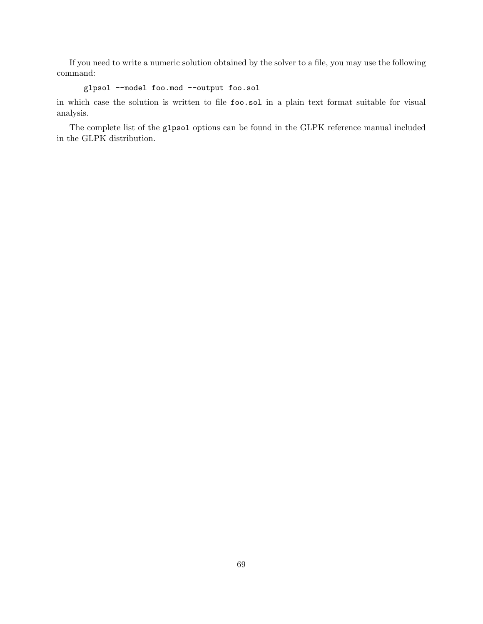If you need to write a numeric solution obtained by the solver to a file, you may use the following command:

```
glpsol --model foo.mod --output foo.sol
```
in which case the solution is written to file foo.sol in a plain text format suitable for visual analysis.

The complete list of the glpsol options can be found in the GLPK reference manual included in the GLPK distribution.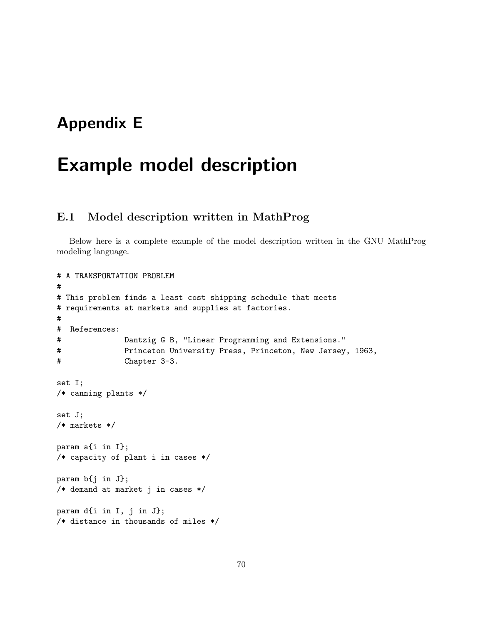# **Appendix E**

# **Example model description**

# **E.1 Model description written in MathProg**

Below here is a complete example of the model description written in the GNU MathProg modeling language.

```
# A TRANSPORTATION PROBLEM
#
# This problem finds a least cost shipping schedule that meets
# requirements at markets and supplies at factories.
#
# References:
# Dantzig G B, "Linear Programming and Extensions."
# Princeton University Press, Princeton, New Jersey, 1963,
# Chapter 3-3.
set I;
/* canning plants */
set J;
/* markets */
param a{i in I};
/* capacity of plant i in cases */
param b{j in J};
/* demand at market j in cases */
param d{i in I, j in J};
/* distance in thousands of miles */
```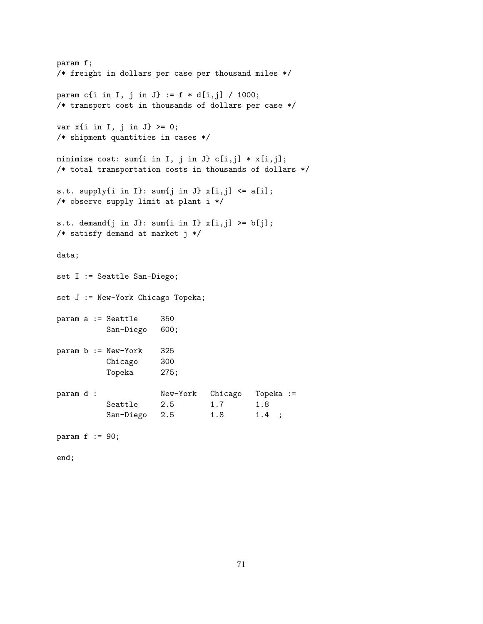```
param f;
/* freight in dollars per case per thousand miles */
param c{i in I, j in J} := f * d[i, j] / 1000;
/* transport cost in thousands of dollars per case */
var x{i} in I, j in J} >= 0;
/* shipment quantities in cases */
minimize cost: sum{i in I, j in J} c[i,j] * x[i,j];
/* total transportation costs in thousands of dollars */
s.t. supply\{i \text{ in } I\}: sum\{j \text{ in } J\} x[i, j] \leq a[i];
/* observe supply limit at plant i */
s.t. demand\{j \text{ in } J\}: sum\{i \text{ in } I\} x[i,j] >= b[j];
/* satisfy demand at market j */
data;
set I := Seattle San-Diego;
set J := New-York Chicago Topeka;
param a := Seattle 350
           San-Diego 600;
param b := New-York 325
           Chicago 300
           Topeka 275;
param d : New-York Chicago Topeka :=
           Seattle 2.5 1.7 1.8
           San-Diego 2.5 1.8 1.4 ;
param f := 90;
end;
```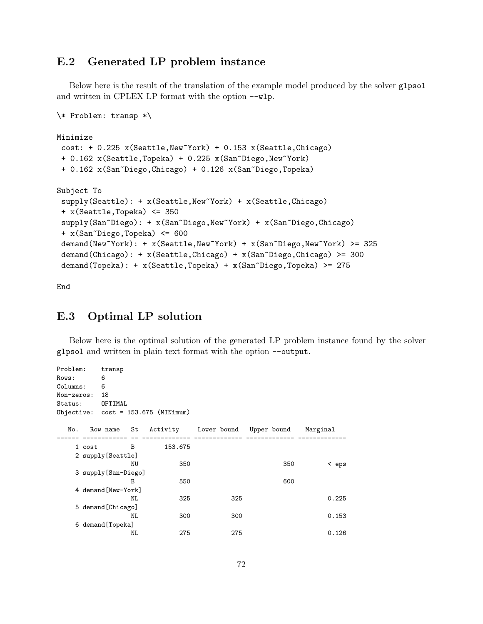# **E.2 Generated LP problem instance**

Below here is the result of the translation of the example model produced by the solver glpsol and written in CPLEX LP format with the option --wlp.

```
\* Problem: transp *\
Minimize
cost: + 0.225 x(Seattle,New~York) + 0.153 x(Seattle,Chicago)
 + 0.162 x(Seattle,Topeka) + 0.225 x(San~Diego,New~York)
 + 0.162 x(San~Diego,Chicago) + 0.126 x(San~Diego,Topeka)
Subject To
 supply(Seattle): + x(Seattle,New~York) + x(Seattle,Chicago)
 + x(Seattle,Topeka) <= 350
 supply(San~Diego): + x(San~Diego,New~York) + x(San~Diego,Chicago)
 + x(San~Diego,Topeka) <= 600
 demand(New~York): + x(Seattle,New~York) + x(San~Diego,New~York) >= 325
 demand(Chicago): + x(Seattle,Chicago) + x(San~Diego,Chicago) >= 300
 demand(Topeka): + x(Seattle,Topeka) + x(San~Diego,Topeka) >= 275
```
End

## **E.3 Optimal LP solution**

Below here is the optimal solution of the generated LP problem instance found by the solver glpsol and written in plain text format with the option --output.

```
Problem: transp
Rows: 6
Columns: 6
Non-zeros: 18
Status: OPTIMAL
Objective: cost = 153.675 (MINimum)
  No. Row name St Activity Lower bound Upper bound Marginal
------ ------------ -- ------------- ------------- ------------- -------------
   1 cost B 153.675
   2 supply[Seattle]
              NU 350 350 < eps
   3 supply[San-Diego]
              B 550 550 600
   4 demand[New-York]
              NL 325 325 0.225
   5 demand[Chicago]
              NL 300 300 300 0.153
   6 demand[Topeka]
              NL 275 275 0.126
```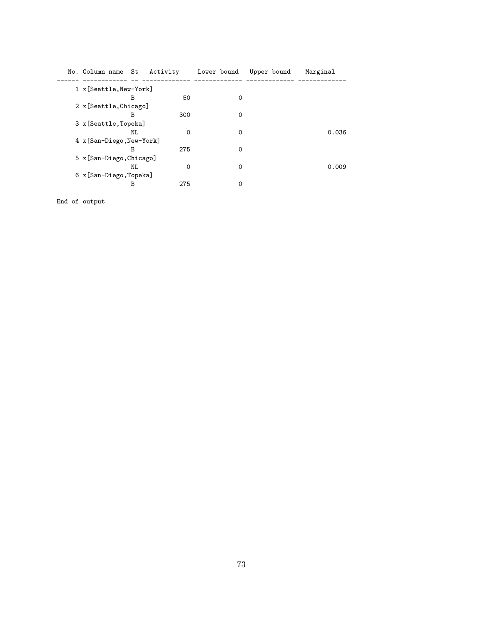| No. Column name           |  | St | Activity | Lower bound | Upper bound | Marginal |
|---------------------------|--|----|----------|-------------|-------------|----------|
| 1 x [Seattle, New-York]   |  |    |          |             |             |          |
|                           |  | в  | 50       | 0           |             |          |
| 2 x [Seattle, Chicago]    |  |    |          |             |             |          |
|                           |  | в  | 300      | 0           |             |          |
| 3 x [Seattle, Topeka]     |  |    |          |             |             |          |
|                           |  | NL | $\Omega$ | 0           |             | 0.036    |
| 4 x [San-Diego, New-York] |  |    |          |             |             |          |
|                           |  | В  | 275      | 0           |             |          |
| 5 x [San-Diego, Chicago]  |  |    |          |             |             |          |
|                           |  | NL | 0        | 0           |             | 0.009    |
| 6 x [San-Diego, Topeka]   |  |    |          |             |             |          |
|                           |  | В  | 275      | 0           |             |          |

End of output